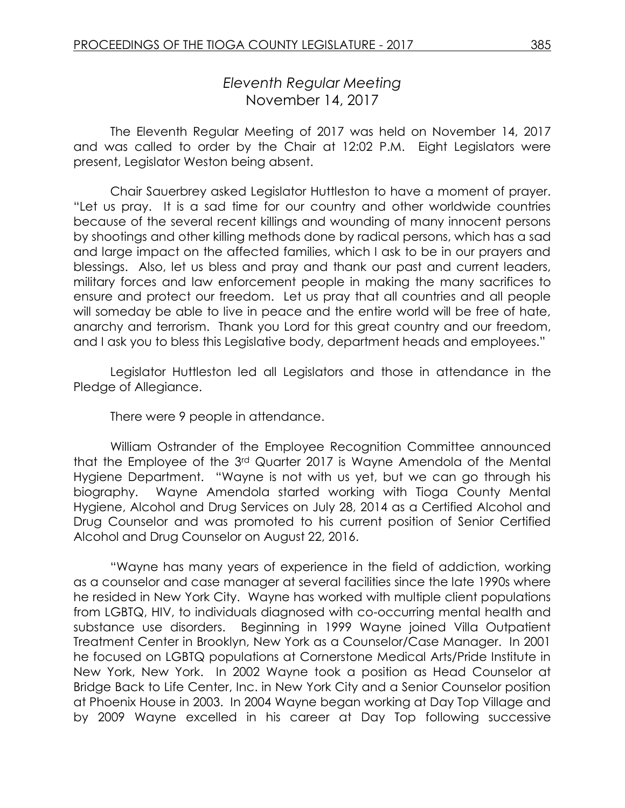# *Eleventh Regular Meeting* November 14, 2017

The Eleventh Regular Meeting of 2017 was held on November 14, 2017 and was called to order by the Chair at 12:02 P.M. Eight Legislators were present, Legislator Weston being absent.

Chair Sauerbrey asked Legislator Huttleston to have a moment of prayer. "Let us pray. It is a sad time for our country and other worldwide countries because of the several recent killings and wounding of many innocent persons by shootings and other killing methods done by radical persons, which has a sad and large impact on the affected families, which I ask to be in our prayers and blessings. Also, let us bless and pray and thank our past and current leaders, military forces and law enforcement people in making the many sacrifices to ensure and protect our freedom. Let us pray that all countries and all people will someday be able to live in peace and the entire world will be free of hate, anarchy and terrorism. Thank you Lord for this great country and our freedom, and I ask you to bless this Legislative body, department heads and employees."

Legislator Huttleston led all Legislators and those in attendance in the Pledge of Allegiance.

There were 9 people in attendance.

William Ostrander of the Employee Recognition Committee announced that the Employee of the 3rd Quarter 2017 is Wayne Amendola of the Mental Hygiene Department. "Wayne is not with us yet, but we can go through his biography. Wayne Amendola started working with Tioga County Mental Hygiene, Alcohol and Drug Services on July 28, 2014 as a Certified Alcohol and Drug Counselor and was promoted to his current position of Senior Certified Alcohol and Drug Counselor on August 22, 2016.

"Wayne has many years of experience in the field of addiction, working as a counselor and case manager at several facilities since the late 1990s where he resided in New York City. Wayne has worked with multiple client populations from LGBTQ, HIV, to individuals diagnosed with co-occurring mental health and substance use disorders. Beginning in 1999 Wayne joined Villa Outpatient Treatment Center in Brooklyn, New York as a Counselor/Case Manager. In 2001 he focused on LGBTQ populations at Cornerstone Medical Arts/Pride Institute in New York, New York. In 2002 Wayne took a position as Head Counselor at Bridge Back to Life Center, Inc. in New York City and a Senior Counselor position at Phoenix House in 2003. In 2004 Wayne began working at Day Top Village and by 2009 Wayne excelled in his career at Day Top following successive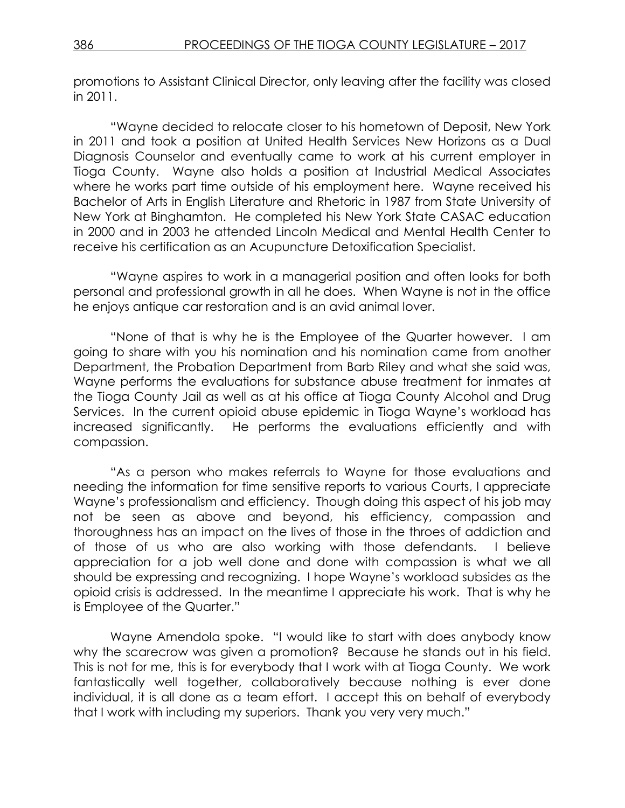promotions to Assistant Clinical Director, only leaving after the facility was closed in 2011.

"Wayne decided to relocate closer to his hometown of Deposit, New York in 2011 and took a position at United Health Services New Horizons as a Dual Diagnosis Counselor and eventually came to work at his current employer in Tioga County. Wayne also holds a position at Industrial Medical Associates where he works part time outside of his employment here. Wayne received his Bachelor of Arts in English Literature and Rhetoric in 1987 from State University of New York at Binghamton. He completed his New York State CASAC education in 2000 and in 2003 he attended Lincoln Medical and Mental Health Center to receive his certification as an Acupuncture Detoxification Specialist.

"Wayne aspires to work in a managerial position and often looks for both personal and professional growth in all he does. When Wayne is not in the office he enjoys antique car restoration and is an avid animal lover.

"None of that is why he is the Employee of the Quarter however. I am going to share with you his nomination and his nomination came from another Department, the Probation Department from Barb Riley and what she said was, Wayne performs the evaluations for substance abuse treatment for inmates at the Tioga County Jail as well as at his office at Tioga County Alcohol and Drug Services. In the current opioid abuse epidemic in Tioga Wayne's workload has increased significantly. He performs the evaluations efficiently and with compassion.

"As a person who makes referrals to Wayne for those evaluations and needing the information for time sensitive reports to various Courts, I appreciate Wayne's professionalism and efficiency. Though doing this aspect of his job may not be seen as above and beyond, his efficiency, compassion and thoroughness has an impact on the lives of those in the throes of addiction and of those of us who are also working with those defendants. I believe appreciation for a job well done and done with compassion is what we all should be expressing and recognizing. I hope Wayne's workload subsides as the opioid crisis is addressed. In the meantime I appreciate his work. That is why he is Employee of the Quarter."

Wayne Amendola spoke. "I would like to start with does anybody know why the scarecrow was given a promotion? Because he stands out in his field. This is not for me, this is for everybody that I work with at Tioga County. We work fantastically well together, collaboratively because nothing is ever done individual, it is all done as a team effort. I accept this on behalf of everybody that I work with including my superiors. Thank you very very much."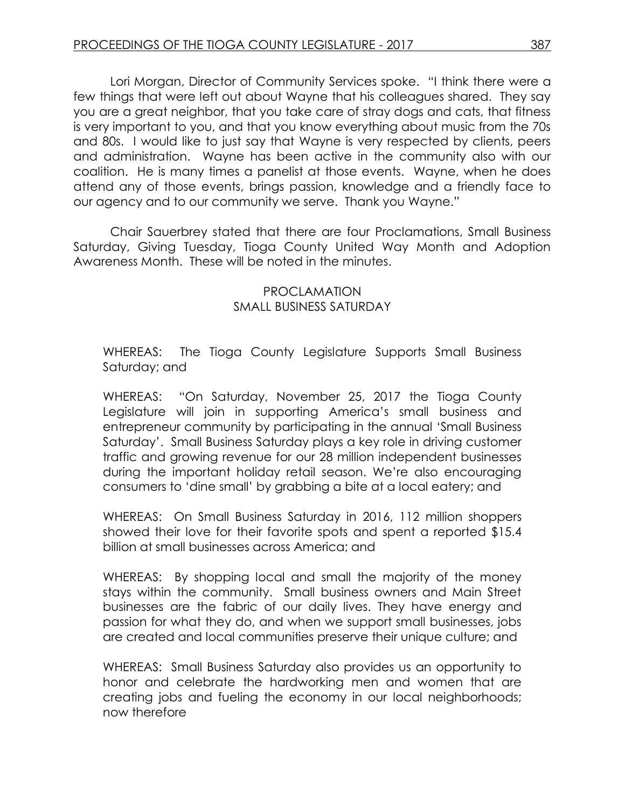Lori Morgan, Director of Community Services spoke. "I think there were a few things that were left out about Wayne that his colleagues shared. They say you are a great neighbor, that you take care of stray dogs and cats, that fitness is very important to you, and that you know everything about music from the 70s and 80s. I would like to just say that Wayne is very respected by clients, peers and administration. Wayne has been active in the community also with our coalition. He is many times a panelist at those events. Wayne, when he does attend any of those events, brings passion, knowledge and a friendly face to our agency and to our community we serve. Thank you Wayne."

Chair Sauerbrey stated that there are four Proclamations, Small Business Saturday, Giving Tuesday, Tioga County United Way Month and Adoption Awareness Month. These will be noted in the minutes.

#### PROCLAMATION SMALL BUSINESS SATURDAY

WHEREAS: The Tioga County Legislature Supports Small Business Saturday; and

WHEREAS: "On Saturday, November 25, 2017 the Tioga County Legislature will join in supporting America's small business and entrepreneur community by participating in the annual 'Small Business Saturday'. Small Business Saturday plays a key role in driving customer traffic and growing revenue for our 28 million independent businesses during the important holiday retail season. We're also encouraging consumers to 'dine small' by grabbing a bite at a local eatery; and

WHEREAS: On Small Business Saturday in 2016, 112 million shoppers showed their love for their favorite spots and spent a reported \$15.4 billion at small businesses across America; and

WHEREAS: By shopping local and small the majority of the money stays within the community. Small business owners and Main Street businesses are the fabric of our daily lives. They have energy and passion for what they do, and when we support small businesses, jobs are created and local communities preserve their unique culture; and

WHEREAS: Small Business Saturday also provides us an opportunity to honor and celebrate the hardworking men and women that are creating jobs and fueling the economy in our local neighborhoods; now therefore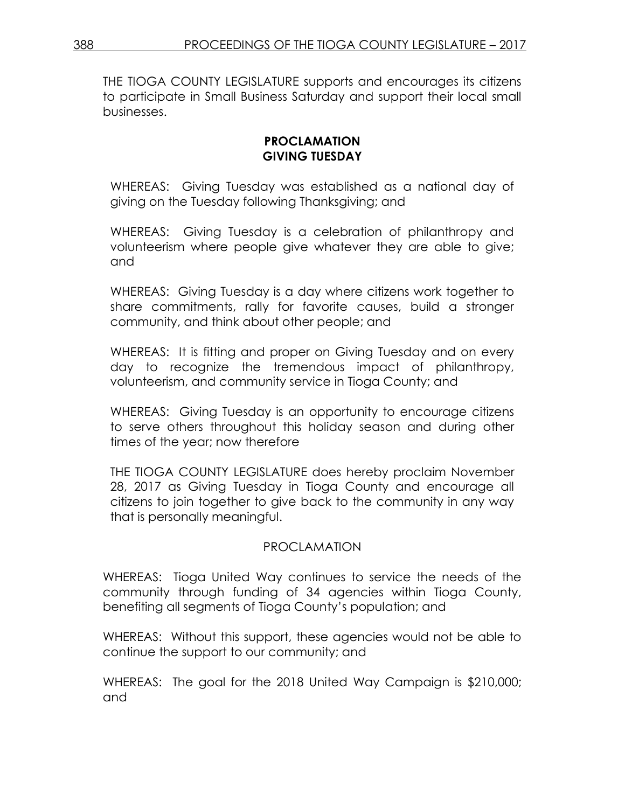THE TIOGA COUNTY LEGISLATURE supports and encourages its citizens to participate in Small Business Saturday and support their local small businesses.

#### **PROCLAMATION GIVING TUESDAY**

WHEREAS: Giving Tuesday was established as a national day of giving on the Tuesday following Thanksgiving; and

WHEREAS: Giving Tuesday is a celebration of philanthropy and volunteerism where people give whatever they are able to give; and

WHEREAS: Giving Tuesday is a day where citizens work together to share commitments, rally for favorite causes, build a stronger community, and think about other people; and

WHEREAS: It is fitting and proper on Giving Tuesday and on every day to recognize the tremendous impact of philanthropy, volunteerism, and community service in Tioga County; and

WHEREAS: Giving Tuesday is an opportunity to encourage citizens to serve others throughout this holiday season and during other times of the year; now therefore

THE TIOGA COUNTY LEGISLATURE does hereby proclaim November 28, 2017 as Giving Tuesday in Tioga County and encourage all citizens to join together to give back to the community in any way that is personally meaningful.

## PROCLAMATION

WHEREAS: Tioga United Way continues to service the needs of the community through funding of 34 agencies within Tioga County, benefiting all segments of Tioga County's population; and

WHEREAS: Without this support, these agencies would not be able to continue the support to our community; and

WHEREAS: The goal for the 2018 United Way Campaign is \$210,000; and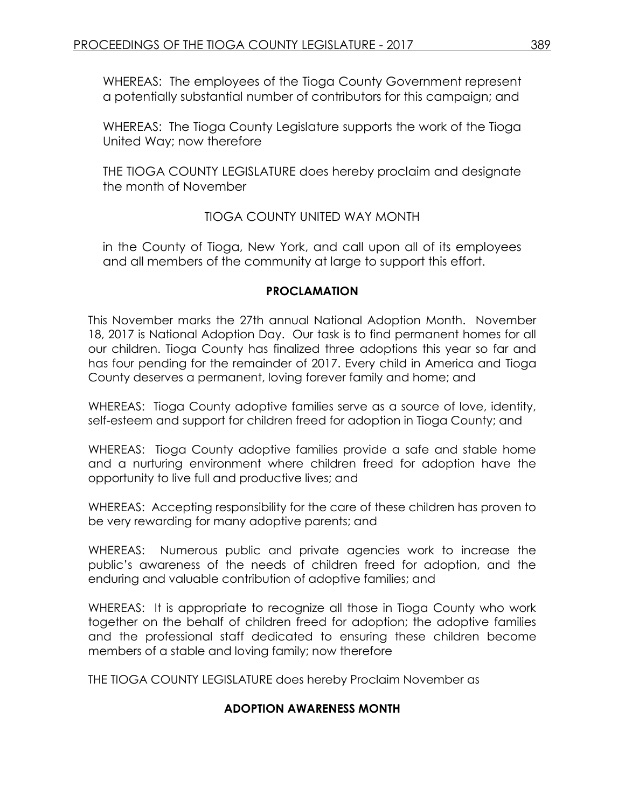WHEREAS: The employees of the Tioga County Government represent a potentially substantial number of contributors for this campaign; and

WHEREAS: The Tioga County Legislature supports the work of the Tioga United Way; now therefore

THE TIOGA COUNTY LEGISLATURE does hereby proclaim and designate the month of November

# TIOGA COUNTY UNITED WAY MONTH

in the County of Tioga, New York, and call upon all of its employees and all members of the community at large to support this effort.

#### **PROCLAMATION**

This November marks the 27th annual National Adoption Month. November 18, 2017 is National Adoption Day. Our task is to find permanent homes for all our children. Tioga County has finalized three adoptions this year so far and has four pending for the remainder of 2017. Every child in America and Tioga County deserves a permanent, loving forever family and home; and

WHEREAS: Tioga County adoptive families serve as a source of love, identity, self-esteem and support for children freed for adoption in Tioga County; and

WHEREAS: Tioga County adoptive families provide a safe and stable home and a nurturing environment where children freed for adoption have the opportunity to live full and productive lives; and

WHEREAS: Accepting responsibility for the care of these children has proven to be very rewarding for many adoptive parents; and

WHEREAS: Numerous public and private agencies work to increase the public's awareness of the needs of children freed for adoption, and the enduring and valuable contribution of adoptive families; and

WHEREAS: It is appropriate to recognize all those in Tioga County who work together on the behalf of children freed for adoption; the adoptive families and the professional staff dedicated to ensuring these children become members of a stable and loving family; now therefore

THE TIOGA COUNTY LEGISLATURE does hereby Proclaim November as

## **ADOPTION AWARENESS MONTH**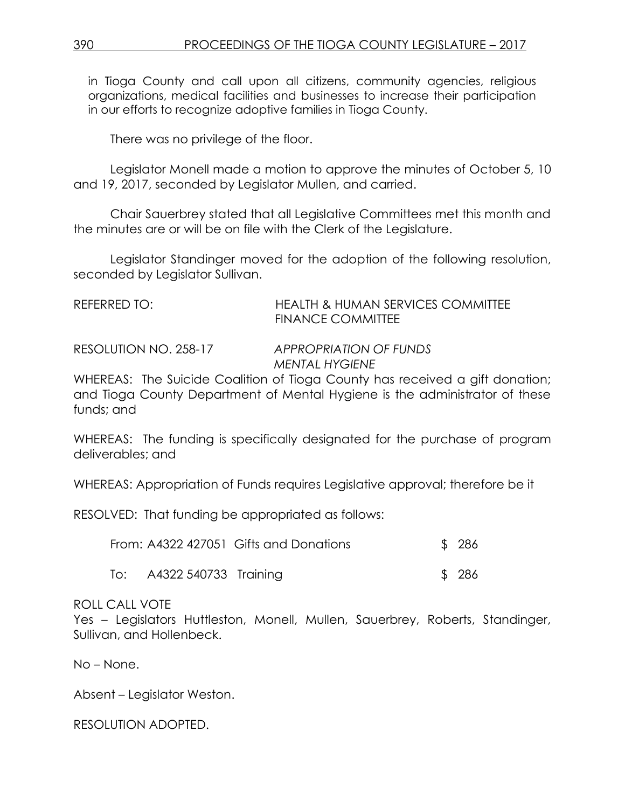in Tioga County and call upon all citizens, community agencies, religious organizations, medical facilities and businesses to increase their participation in our efforts to recognize adoptive families in Tioga County.

There was no privilege of the floor.

Legislator Monell made a motion to approve the minutes of October 5, 10 and 19, 2017, seconded by Legislator Mullen, and carried.

Chair Sauerbrey stated that all Legislative Committees met this month and the minutes are or will be on file with the Clerk of the Legislature.

Legislator Standinger moved for the adoption of the following resolution, seconded by Legislator Sullivan.

| <b>HEALTH &amp; HUMAN SERVICES COMMITTEE</b> |
|----------------------------------------------|
| <b>FINANCE COMMITTEE</b>                     |
|                                              |

RESOLUTION NO. 258-17 *APPROPRIATION OF FUNDS MENTAL HYGIENE*

WHEREAS: The Suicide Coalition of Tioga County has received a gift donation; and Tioga County Department of Mental Hygiene is the administrator of these funds; and

WHEREAS: The funding is specifically designated for the purchase of program deliverables; and

WHEREAS: Appropriation of Funds requires Legislative approval; therefore be it

RESOLVED: That funding be appropriated as follows:

|                           | From: A4322 427051 Gifts and Donations | \$286 |
|---------------------------|----------------------------------------|-------|
| To: A4322 540733 Training |                                        | \$286 |

## ROLL CALL VOTE

Yes – Legislators Huttleston, Monell, Mullen, Sauerbrey, Roberts, Standinger, Sullivan, and Hollenbeck.

No – None.

Absent – Legislator Weston.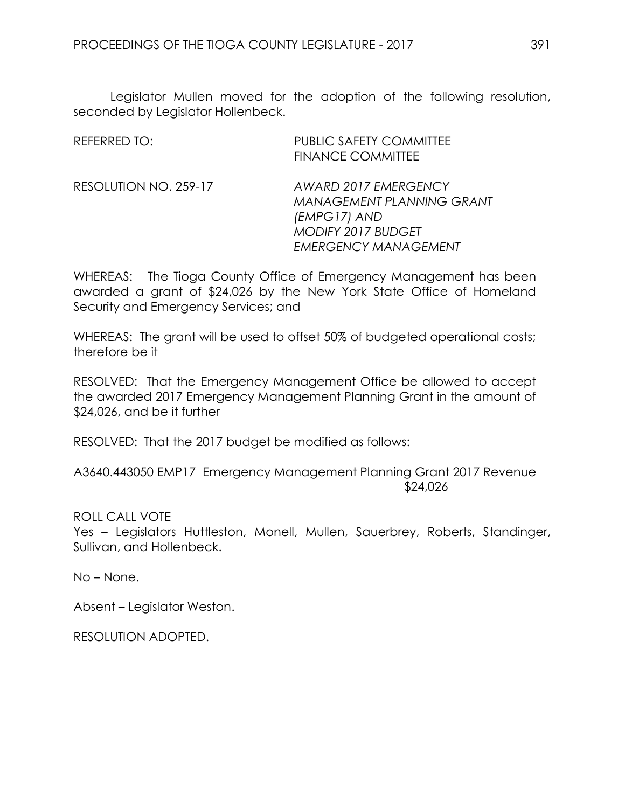Legislator Mullen moved for the adoption of the following resolution, seconded by Legislator Hollenbeck.

| <b>REFERRED TO:</b>   | <b>PUBLIC SAFETY COMMITTEE</b><br><b>FINANCE COMMITTEE</b>                                                                           |
|-----------------------|--------------------------------------------------------------------------------------------------------------------------------------|
| RESOLUTION NO. 259-17 | AWARD 2017 EMERGENCY<br><b>MANAGEMENT PLANNING GRANT</b><br>(EMPG17) AND<br><b>MODIFY 2017 BUDGET</b><br><b>EMERGENCY MANAGEMENT</b> |

WHEREAS: The Tioga County Office of Emergency Management has been awarded a grant of \$24,026 by the New York State Office of Homeland Security and Emergency Services; and

WHEREAS: The grant will be used to offset 50% of budgeted operational costs; therefore be it

RESOLVED: That the Emergency Management Office be allowed to accept the awarded 2017 Emergency Management Planning Grant in the amount of \$24,026, and be it further

RESOLVED: That the 2017 budget be modified as follows:

A3640.443050 EMP17 Emergency Management Planning Grant 2017 Revenue \$24,026

ROLL CALL VOTE

Yes – Legislators Huttleston, Monell, Mullen, Sauerbrey, Roberts, Standinger, Sullivan, and Hollenbeck.

No – None.

Absent – Legislator Weston.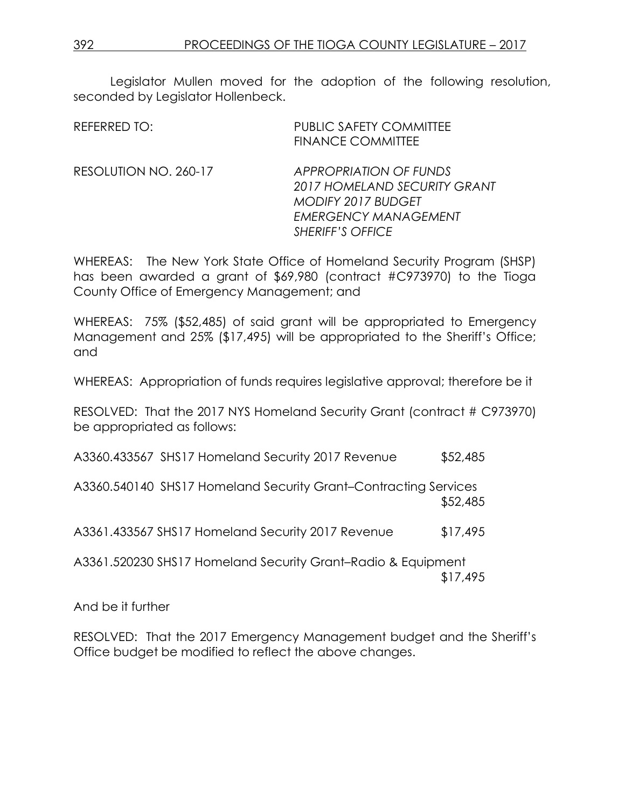Legislator Mullen moved for the adoption of the following resolution, seconded by Legislator Hollenbeck.

| REFERRED TO:          | <b>PUBLIC SAFETY COMMITTEE</b><br><b>FINANCE COMMITTEE</b>                                                                                           |
|-----------------------|------------------------------------------------------------------------------------------------------------------------------------------------------|
| RESOLUTION NO. 260-17 | <b>APPROPRIATION OF FUNDS</b><br>2017 HOMELAND SECURITY GRANT<br><b>MODIFY 2017 BUDGET</b><br><b>EMERGENCY MANAGEMENT</b><br><b>SHERIFF'S OFFICE</b> |

WHEREAS: The New York State Office of Homeland Security Program (SHSP) has been awarded a grant of \$69,980 (contract #C973970) to the Tioga County Office of Emergency Management; and

WHEREAS: 75% (\$52,485) of said grant will be appropriated to Emergency Management and 25% (\$17,495) will be appropriated to the Sheriff's Office; and

WHEREAS: Appropriation of funds requires legislative approval; therefore be it

RESOLVED: That the 2017 NYS Homeland Security Grant (contract # C973970) be appropriated as follows:

A3360.433567 SHS17 Homeland Security 2017 Revenue \$52,485

A3360.540140 SHS17 Homeland Security Grant–Contracting Services \$52,485

A3361.433567 SHS17 Homeland Security 2017 Revenue \$17,495

A3361.520230 SHS17 Homeland Security Grant–Radio & Equipment \$17,495

And be it further

RESOLVED: That the 2017 Emergency Management budget and the Sheriff's Office budget be modified to reflect the above changes.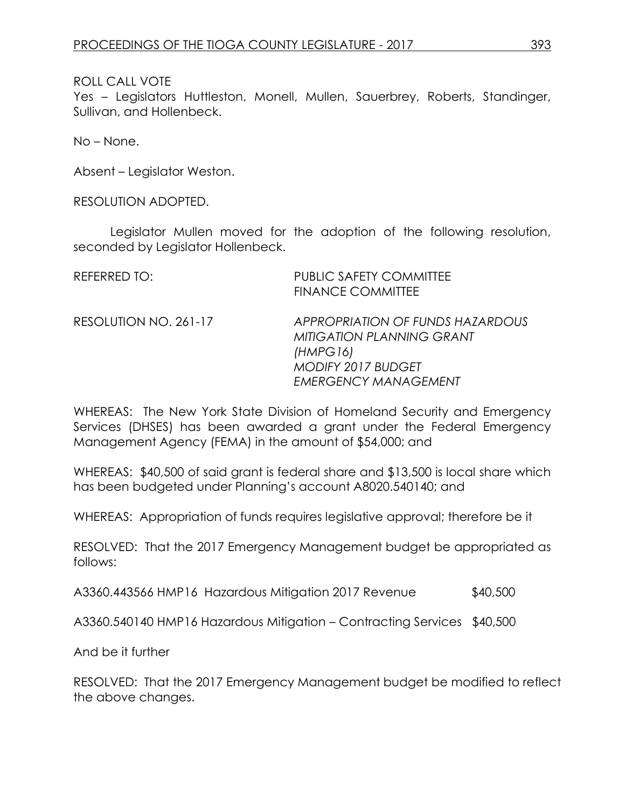Yes – Legislators Huttleston, Monell, Mullen, Sauerbrey, Roberts, Standinger, Sullivan, and Hollenbeck.

No – None.

Absent – Legislator Weston.

RESOLUTION ADOPTED.

Legislator Mullen moved for the adoption of the following resolution, seconded by Legislator Hollenbeck.

| <b>REFERRED TO:</b>   | <b>PUBLIC SAFETY COMMITTEE</b><br><b>FINANCE COMMITTEE</b>                                                                                   |
|-----------------------|----------------------------------------------------------------------------------------------------------------------------------------------|
| RESOLUTION NO. 261-17 | APPROPRIATION OF FUNDS HAZARDOUS<br><b>MITIGATION PLANNING GRANT</b><br>(HMPG16)<br><b>MODIFY 2017 BUDGET</b><br><b>EMERGENCY MANAGEMENT</b> |

WHEREAS: The New York State Division of Homeland Security and Emergency Services (DHSES) has been awarded a grant under the Federal Emergency Management Agency (FEMA) in the amount of \$54,000; and

WHEREAS: \$40,500 of said grant is federal share and \$13,500 is local share which has been budgeted under Planning's account A8020.540140; and

WHEREAS: Appropriation of funds requires legislative approval; therefore be it

RESOLVED: That the 2017 Emergency Management budget be appropriated as follows:

A3360.443566 HMP16 Hazardous Mitigation 2017 Revenue \$40,500

A3360.540140 HMP16 Hazardous Mitigation – Contracting Services \$40,500

And be it further

RESOLVED: That the 2017 Emergency Management budget be modified to reflect the above changes.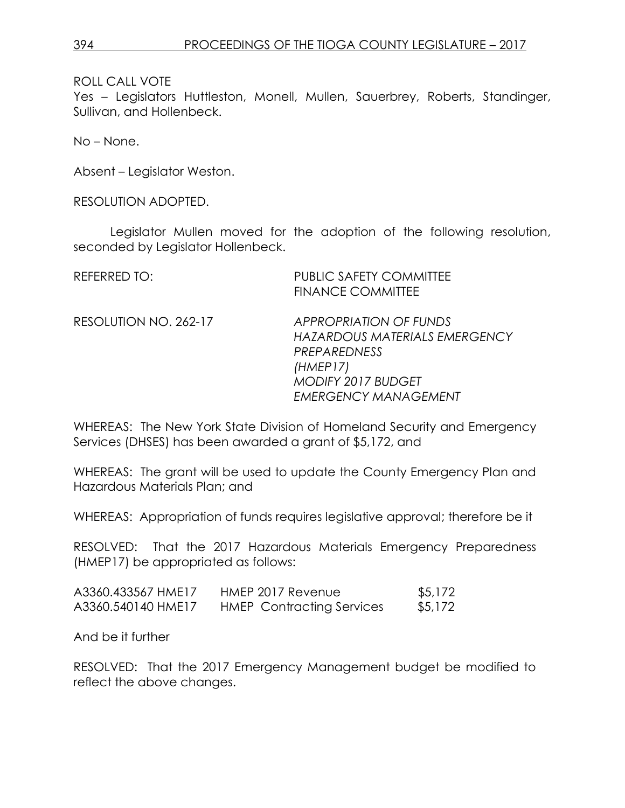Yes - Legislators Huttleston, Monell, Mullen, Sauerbrey, Roberts, Standinger, Sullivan, and Hollenbeck.

No – None.

Absent – Legislator Weston.

RESOLUTION ADOPTED.

Legislator Mullen moved for the adoption of the following resolution, seconded by Legislator Hollenbeck.

| <b>REFERRED TO:</b>   | <b>PUBLIC SAFETY COMMITTEE</b><br><b>FINANCE COMMITTEE</b>                                                                                      |
|-----------------------|-------------------------------------------------------------------------------------------------------------------------------------------------|
| RESOLUTION NO. 262-17 | <b>APPROPRIATION OF FUNDS</b><br>HAZARDOUS MATERIALS EMERGENCY<br>PREPAREDNESS<br>(HMEPI7)<br>MODIFY 2017 BUDGET<br><b>EMERGENCY MANAGEMENT</b> |

WHEREAS: The New York State Division of Homeland Security and Emergency Services (DHSES) has been awarded a grant of \$5,172, and

WHEREAS: The grant will be used to update the County Emergency Plan and Hazardous Materials Plan; and

WHEREAS: Appropriation of funds requires legislative approval; therefore be it

RESOLVED: That the 2017 Hazardous Materials Emergency Preparedness (HMEP17) be appropriated as follows:

| A3360.433567 HME17 | HMEP 2017 Revenue                | \$5,172 |
|--------------------|----------------------------------|---------|
| A3360.540140 HME17 | <b>HMEP</b> Contracting Services | \$5,172 |

And be it further

RESOLVED: That the 2017 Emergency Management budget be modified to reflect the above changes.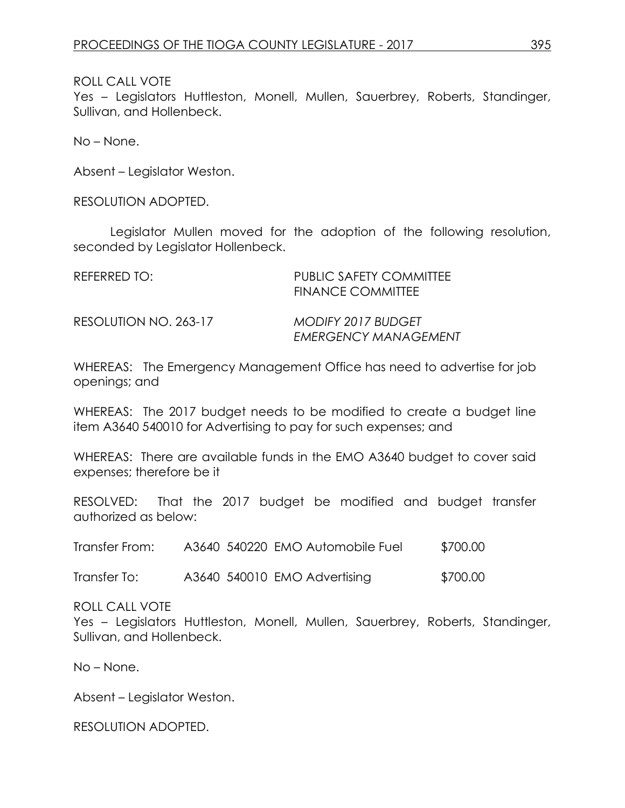Yes – Legislators Huttleston, Monell, Mullen, Sauerbrey, Roberts, Standinger, Sullivan, and Hollenbeck.

No – None.

Absent – Legislator Weston.

RESOLUTION ADOPTED.

Legislator Mullen moved for the adoption of the following resolution, seconded by Legislator Hollenbeck.

| REFERRED TO:          | <b>PUBLIC SAFETY COMMITTEE</b><br><b>FINANCE COMMITTEE</b> |
|-----------------------|------------------------------------------------------------|
| RESOLUTION NO. 263-17 | <b>MODIFY 2017 BUDGET</b><br><b>EMERGENCY MANAGEMENT</b>   |

WHEREAS: The Emergency Management Office has need to advertise for job openings; and

WHEREAS: The 2017 budget needs to be modified to create a budget line item A3640 540010 for Advertising to pay for such expenses; and

WHEREAS: There are available funds in the EMO A3640 budget to cover said expenses; therefore be it

RESOLVED: That the 2017 budget be modified and budget transfer authorized as below:

Transfer From: A3640 540220 EMO Automobile Fuel \$700.00

Transfer To: A3640 540010 EMO Advertising \$700.00

ROLL CALL VOTE

Yes – Legislators Huttleston, Monell, Mullen, Sauerbrey, Roberts, Standinger, Sullivan, and Hollenbeck.

No – None.

Absent – Legislator Weston.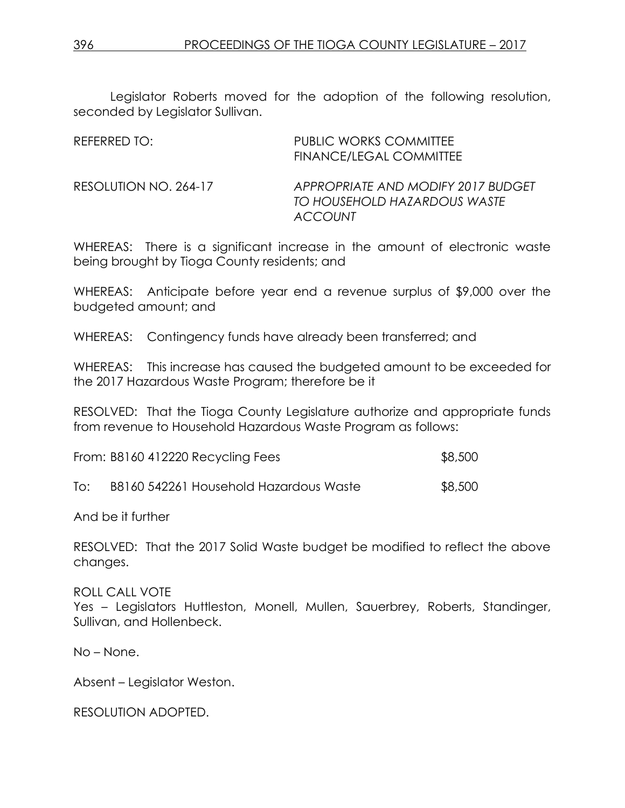Legislator Roberts moved for the adoption of the following resolution, seconded by Legislator Sullivan.

| REFERRED TO:          | <b>PUBLIC WORKS COMMITTEE</b><br><b>FINANCE/LEGAL COMMITTEE</b>                      |
|-----------------------|--------------------------------------------------------------------------------------|
| RESOLUTION NO. 264-17 | APPROPRIATE AND MODIFY 2017 BUDGET<br>TO HOUSEHOLD HAZARDOUS WASTE<br><b>ACCOUNT</b> |

WHEREAS: There is a significant increase in the amount of electronic waste being brought by Tioga County residents; and

WHEREAS: Anticipate before year end a revenue surplus of \$9,000 over the budgeted amount; and

WHEREAS: Contingency funds have already been transferred; and

WHEREAS: This increase has caused the budgeted amount to be exceeded for the 2017 Hazardous Waste Program; therefore be it

RESOLVED: That the Tioga County Legislature authorize and appropriate funds from revenue to Household Hazardous Waste Program as follows:

| From: B8160 412220 Recycling Fees | \$8,500 |  |
|-----------------------------------|---------|--|
|                                   |         |  |

| To: | B8160 542261 Household Hazardous Waste | \$8,500 |
|-----|----------------------------------------|---------|
|-----|----------------------------------------|---------|

And be it further

RESOLVED: That the 2017 Solid Waste budget be modified to reflect the above changes.

ROLL CALL VOTE

Yes – Legislators Huttleston, Monell, Mullen, Sauerbrey, Roberts, Standinger, Sullivan, and Hollenbeck.

No – None.

Absent – Legislator Weston.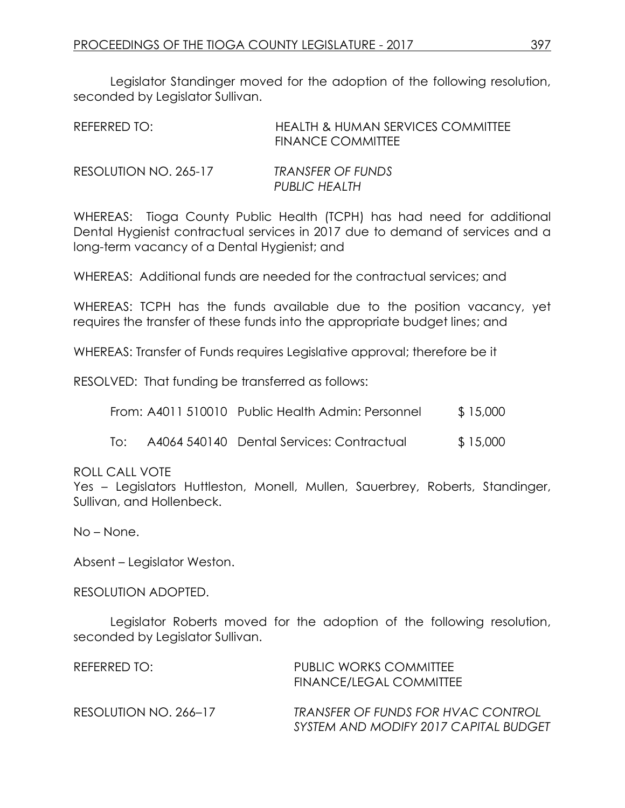Legislator Standinger moved for the adoption of the following resolution, seconded by Legislator Sullivan.

| REFERRED TO:          | <b>HEALTH &amp; HUMAN SERVICES COMMITTEE</b><br><b>FINANCE COMMITTEE</b> |
|-----------------------|--------------------------------------------------------------------------|
| RESOLUTION NO. 265-17 | TRANSFER OF FUNDS<br>PUBLIC HEALTH                                       |

WHEREAS: Tioga County Public Health (TCPH) has had need for additional Dental Hygienist contractual services in 2017 due to demand of services and a long-term vacancy of a Dental Hygienist; and

WHEREAS: Additional funds are needed for the contractual services; and

WHEREAS: TCPH has the funds available due to the position vacancy, yet requires the transfer of these funds into the appropriate budget lines; and

WHEREAS: Transfer of Funds requires Legislative approval; therefore be it

RESOLVED: That funding be transferred as follows:

|  | From: A4011 510010 Public Health Admin: Personnel | \$15,000 |
|--|---------------------------------------------------|----------|
|--|---------------------------------------------------|----------|

To: A4064 540140 Dental Services: Contractual \$15,000

ROLL CALL VOTE

Yes - Legislators Huttleston, Monell, Mullen, Sauerbrey, Roberts, Standinger, Sullivan, and Hollenbeck.

No – None.

Absent – Legislator Weston.

RESOLUTION ADOPTED.

Legislator Roberts moved for the adoption of the following resolution, seconded by Legislator Sullivan.

| REFERRED TO:          | <b>PUBLIC WORKS COMMITTEE</b><br>FINANCE/LEGAL COMMITTEE                    |
|-----------------------|-----------------------------------------------------------------------------|
| RESOLUTION NO. 266–17 | TRANSFER OF FUNDS FOR HVAC CONTROL<br>SYSTEM AND MODIFY 2017 CAPITAL BUDGET |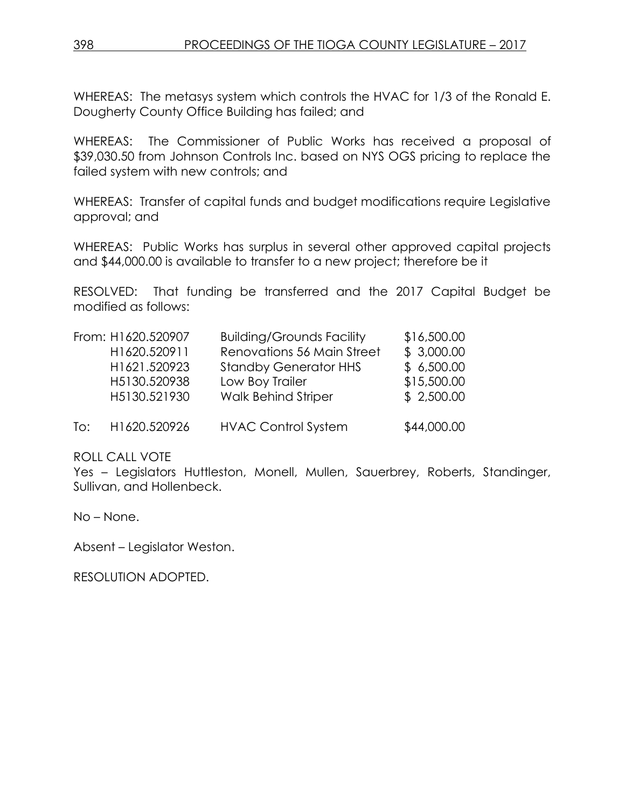WHEREAS: The metasys system which controls the HVAC for 1/3 of the Ronald E. Dougherty County Office Building has failed; and

WHEREAS: The Commissioner of Public Works has received a proposal of \$39,030.50 from Johnson Controls Inc. based on NYS OGS pricing to replace the failed system with new controls; and

WHEREAS: Transfer of capital funds and budget modifications require Legislative approval; and

WHEREAS: Public Works has surplus in several other approved capital projects and \$44,000.00 is available to transfer to a new project; therefore be it

RESOLVED: That funding be transferred and the 2017 Capital Budget be modified as follows:

|     | From: H1620.520907 | <b>Building/Grounds Facility</b> | \$16,500.00 |
|-----|--------------------|----------------------------------|-------------|
|     | H1620.520911       | Renovations 56 Main Street       | \$3,000.00  |
|     | H1621.520923       | <b>Standby Generator HHS</b>     | \$6,500.00  |
|     | H5130.520938       | Low Boy Trailer                  | \$15,500.00 |
|     | H5130.521930       | <b>Walk Behind Striper</b>       | \$2,500.00  |
| To: | H1620.520926       | <b>HVAC Control System</b>       | \$44,000.00 |

ROLL CALL VOTE

Yes – Legislators Huttleston, Monell, Mullen, Sauerbrey, Roberts, Standinger, Sullivan, and Hollenbeck.

No – None.

Absent – Legislator Weston.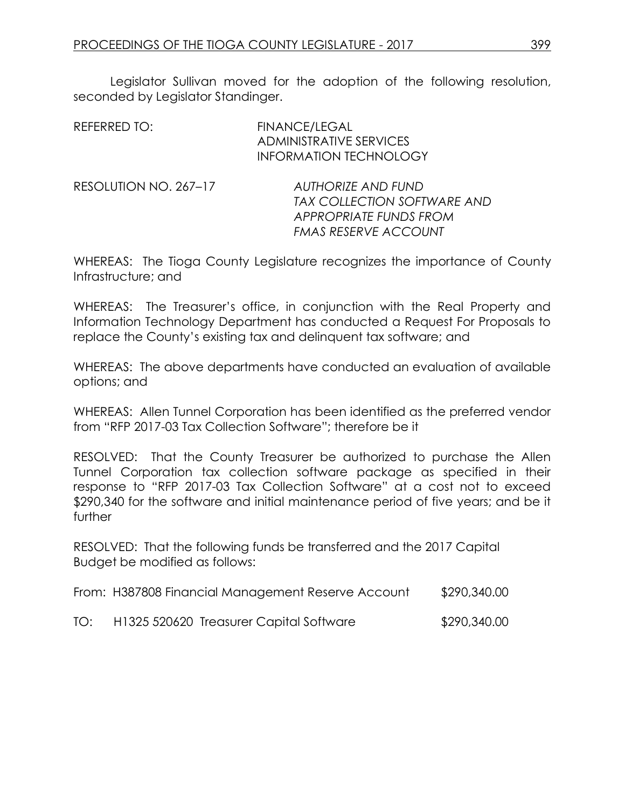Legislator Sullivan moved for the adoption of the following resolution, seconded by Legislator Standinger.

| REFERRED TO:          | <b>FINANCE/LEGAL</b><br><b>ADMINISTRATIVE SERVICES</b><br><b>INFORMATION TECHNOLOGY</b>                                  |
|-----------------------|--------------------------------------------------------------------------------------------------------------------------|
| RESOLUTION NO. 267-17 | AUTHORIZE AND FUND<br><b>TAX COLLECTION SOFTWARE AND</b><br><b>APPROPRIATE FUNDS FROM</b><br><b>FMAS RESERVE ACCOUNT</b> |

WHEREAS: The Tioga County Legislature recognizes the importance of County Infrastructure; and

WHEREAS: The Treasurer's office, in conjunction with the Real Property and Information Technology Department has conducted a Request For Proposals to replace the County's existing tax and delinquent tax software; and

WHEREAS: The above departments have conducted an evaluation of available options; and

WHEREAS: Allen Tunnel Corporation has been identified as the preferred vendor from "RFP 2017-03 Tax Collection Software"; therefore be it

RESOLVED: That the County Treasurer be authorized to purchase the Allen Tunnel Corporation tax collection software package as specified in their response to "RFP 2017-03 Tax Collection Software" at a cost not to exceed \$290,340 for the software and initial maintenance period of five years; and be it further

RESOLVED: That the following funds be transferred and the 2017 Capital Budget be modified as follows:

| From: H387808 Financial Management Reserve Account | \$290,340.00 |
|----------------------------------------------------|--------------|
|                                                    |              |

TO: H1325 520620 Treasurer Capital Software \$290,340.00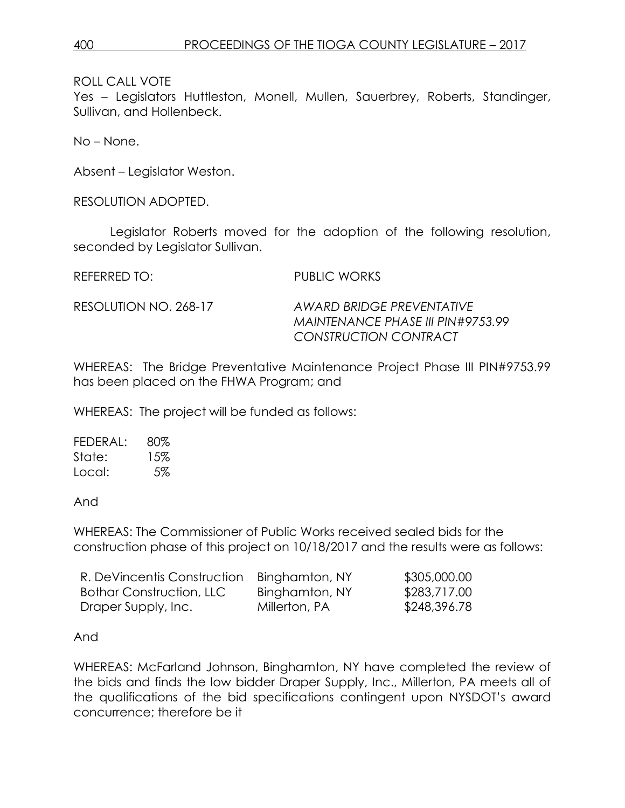Yes – Legislators Huttleston, Monell, Mullen, Sauerbrey, Roberts, Standinger, Sullivan, and Hollenbeck.

No – None.

Absent – Legislator Weston.

RESOLUTION ADOPTED.

Legislator Roberts moved for the adoption of the following resolution, seconded by Legislator Sullivan.

REFERRED TO: PUBLIC WORKS

RESOLUTION NO. 268-17 *AWARD BRIDGE PREVENTATIVE MAINTENANCE PHASE III PIN#9753.99 CONSTRUCTION CONTRACT*

WHEREAS: The Bridge Preventative Maintenance Project Phase III PIN#9753.99 has been placed on the FHWA Program; and

WHEREAS: The project will be funded as follows:

| FEDERAL: | 80% |
|----------|-----|
| State:   | 15% |
| Local:   | 5%  |

And

WHEREAS: The Commissioner of Public Works received sealed bids for the construction phase of this project on 10/18/2017 and the results were as follows:

| R. DeVincentis Construction     | Binghamton, NY | \$305,000.00 |
|---------------------------------|----------------|--------------|
| <b>Bothar Construction, LLC</b> | Binghamton, NY | \$283,717.00 |
| Draper Supply, Inc.             | Millerton, PA  | \$248,396.78 |

And

WHEREAS: McFarland Johnson, Binghamton, NY have completed the review of the bids and finds the low bidder Draper Supply, Inc., Millerton, PA meets all of the qualifications of the bid specifications contingent upon NYSDOT's award concurrence; therefore be it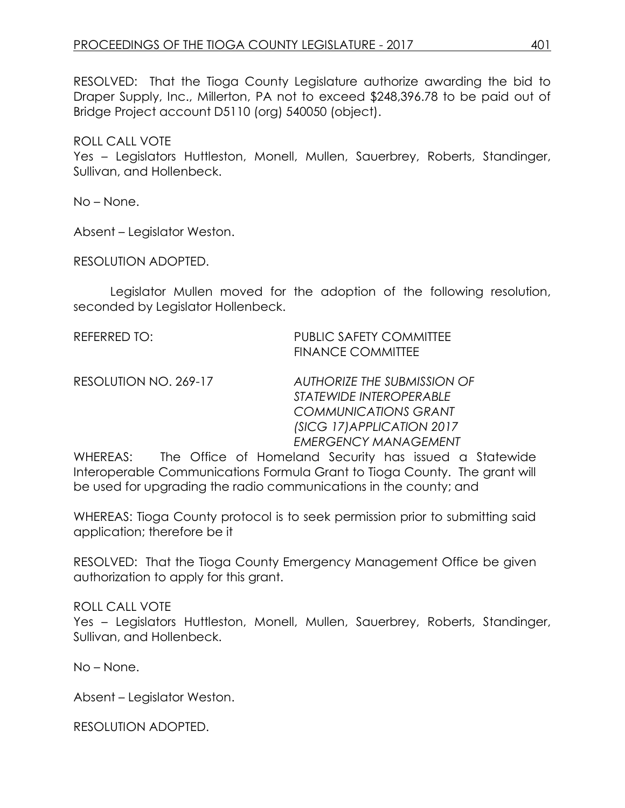RESOLVED: That the Tioga County Legislature authorize awarding the bid to Draper Supply, Inc., Millerton, PA not to exceed \$248,396.78 to be paid out of Bridge Project account D5110 (org) 540050 (object).

ROLL CALL VOTE Yes – Legislators Huttleston, Monell, Mullen, Sauerbrey, Roberts, Standinger, Sullivan, and Hollenbeck.

No – None.

Absent – Legislator Weston.

RESOLUTION ADOPTED.

Legislator Mullen moved for the adoption of the following resolution, seconded by Legislator Hollenbeck.

REFERRED TO: PUBLIC SAFETY COMMITTEE FINANCE COMMITTEE

RESOLUTION NO. 269-17 *AUTHORIZE THE SUBMISSION OF STATEWIDE INTEROPERABLE COMMUNICATIONS GRANT (SICG 17)APPLICATION 2017 EMERGENCY MANAGEMENT*

WHEREAS: The Office of Homeland Security has issued a Statewide Interoperable Communications Formula Grant to Tioga County. The grant will be used for upgrading the radio communications in the county; and

WHEREAS: Tioga County protocol is to seek permission prior to submitting said application; therefore be it

RESOLVED: That the Tioga County Emergency Management Office be given authorization to apply for this grant.

ROLL CALL VOTE Yes – Legislators Huttleston, Monell, Mullen, Sauerbrey, Roberts, Standinger, Sullivan, and Hollenbeck.

No – None.

Absent – Legislator Weston.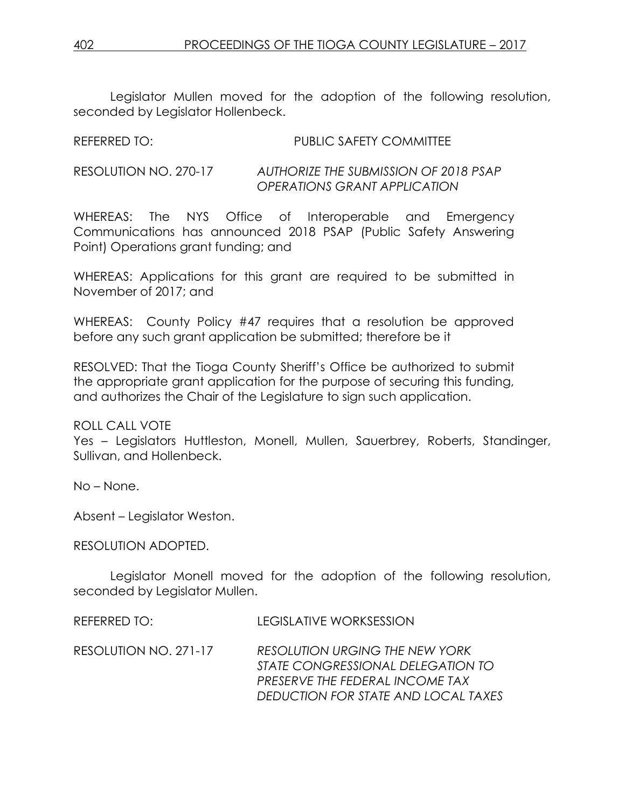Legislator Mullen moved for the adoption of the following resolution, seconded by Legislator Hollenbeck.

REFERRED TO: PUBLIC SAFETY COMMITTEE

RESOLUTION NO. 270-17 *AUTHORIZE THE SUBMISSION OF 2018 PSAP OPERATIONS GRANT APPLICATION*

WHEREAS: The NYS Office of Interoperable and Emergency Communications has announced 2018 PSAP (Public Safety Answering Point) Operations grant funding; and

WHEREAS: Applications for this grant are required to be submitted in November of 2017; and

WHEREAS: County Policy #47 requires that a resolution be approved before any such grant application be submitted; therefore be it

RESOLVED: That the Tioga County Sheriff's Office be authorized to submit the appropriate grant application for the purpose of securing this funding, and authorizes the Chair of the Legislature to sign such application.

ROLL CALL VOTE

Yes – Legislators Huttleston, Monell, Mullen, Sauerbrey, Roberts, Standinger, Sullivan, and Hollenbeck.

No – None.

Absent – Legislator Weston.

RESOLUTION ADOPTED.

Legislator Monell moved for the adoption of the following resolution, seconded by Legislator Mullen.

REFERRED TO: LEGISLATIVE WORKSESSION RESOLUTION NO. 271-17 *RESOLUTION URGING THE NEW YORK STATE CONGRESSIONAL DELEGATION TO PRESERVE THE FEDERAL INCOME TAX DEDUCTION FOR STATE AND LOCAL TAXES*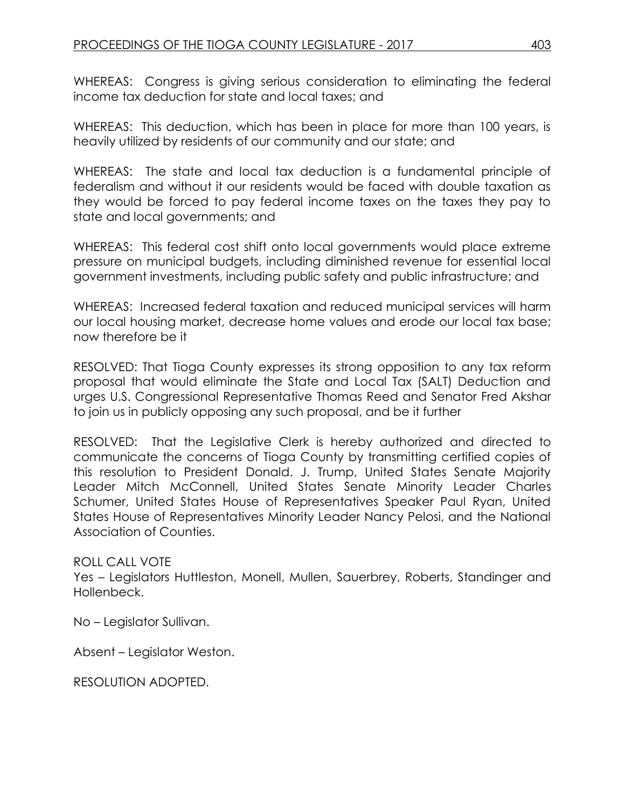WHEREAS: Congress is giving serious consideration to eliminating the federal income tax deduction for state and local taxes; and

WHEREAS: This deduction, which has been in place for more than 100 years, is heavily utilized by residents of our community and our state; and

WHEREAS: The state and local tax deduction is a fundamental principle of federalism and without it our residents would be faced with double taxation as they would be forced to pay federal income taxes on the taxes they pay to state and local governments; and

WHEREAS: This federal cost shift onto local governments would place extreme pressure on municipal budgets, including diminished revenue for essential local government investments, including public safety and public infrastructure; and

WHEREAS: Increased federal taxation and reduced municipal services will harm our local housing market, decrease home values and erode our local tax base; now therefore be it

RESOLVED: That Tioga County expresses its strong opposition to any tax reform proposal that would eliminate the State and Local Tax (SALT) Deduction and urges U.S. Congressional Representative Thomas Reed and Senator Fred Akshar to join us in publicly opposing any such proposal, and be it further

RESOLVED: That the Legislative Clerk is hereby authorized and directed to communicate the concerns of Tioga County by transmitting certified copies of this resolution to President Donald. J. Trump, United States Senate Majority Leader Mitch McConnell, United States Senate Minority Leader Charles Schumer, United States House of Representatives Speaker Paul Ryan, United States House of Representatives Minority Leader Nancy Pelosi, and the National Association of Counties.

ROLL CALL VOTE

Yes – Legislators Huttleston, Monell, Mullen, Sauerbrey, Roberts, Standinger and Hollenbeck.

No – Legislator Sullivan.

Absent – Legislator Weston.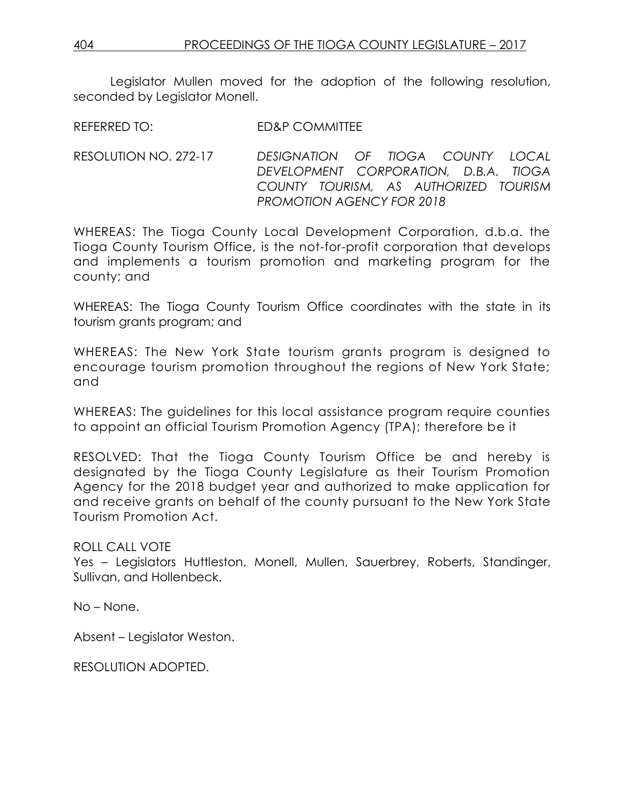Legislator Mullen moved for the adoption of the following resolution, seconded by Leaislator Monell.

REFERRED TO: FD&P COMMITTEE

RESOLUTION NO. 272-17 *DESIGNATION OF TIOGA COUNTY LOCAL DEVELOPMENT CORPORATION, D.B.A. TIOGA COUNTY TOURISM, AS AUTHORIZED TOURISM PROMOTION AGENCY FOR 2018*

WHEREAS: The Tioga County Local Development Corporation, d.b.a. the Tioga County Tourism Office, is the not-for-profit corporation that develops and implements a tourism promotion and marketing program for the county; and

WHEREAS: The Tioga County Tourism Office coordinates with the state in its tourism grants program; and

WHEREAS: The New York State tourism grants program is designed to encourage tourism promotion throughout the regions of New York State; and

WHEREAS: The guidelines for this local assistance program require counties to appoint an official Tourism Promotion Agency (TPA); therefore be it

RESOLVED: That the Tioga County Tourism Office be and hereby is designated by the Tioga County Legislature as their Tourism Promotion Agency for the 2018 budget year and authorized to make application for and receive grants on behalf of the county pursuant to the New York State Tourism Promotion Act.

ROLL CALL VOTE

Yes – Legislators Huttleston, Monell, Mullen, Sauerbrey, Roberts, Standinger, Sullivan, and Hollenbeck.

No – None.

Absent – Legislator Weston.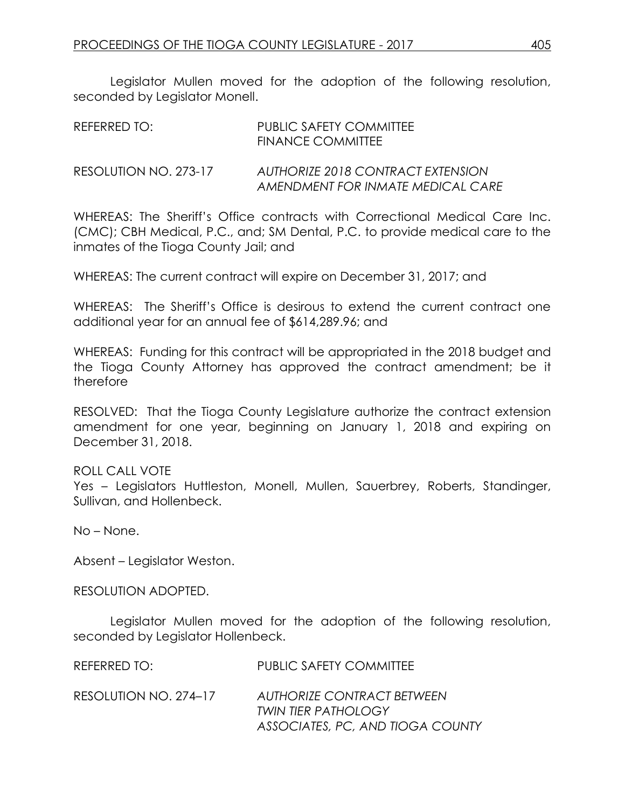Legislator Mullen moved for the adoption of the following resolution, seconded by Legislator Monell.

| REFERRED TO:          | PUBLIC SAFETY COMMITTEE<br><b>FINANCE COMMITTEE</b>                    |
|-----------------------|------------------------------------------------------------------------|
| RESOLUTION NO. 273-17 | AUTHORIZE 2018 CONTRACT EXTENSION<br>AMENDMENT FOR INMATE MEDICAL CARE |

WHEREAS: The Sheriff's Office contracts with Correctional Medical Care Inc. (CMC); CBH Medical, P.C., and; SM Dental, P.C. to provide medical care to the inmates of the Tioga County Jail; and

WHEREAS: The current contract will expire on December 31, 2017; and

WHEREAS: The Sheriff's Office is desirous to extend the current contract one additional year for an annual fee of \$614,289.96; and

WHEREAS: Funding for this contract will be appropriated in the 2018 budget and the Tioga County Attorney has approved the contract amendment; be it therefore

RESOLVED: That the Tioga County Legislature authorize the contract extension amendment for one year, beginning on January 1, 2018 and expiring on December 31, 2018.

#### ROLL CALL VOTE

Yes – Legislators Huttleston, Monell, Mullen, Sauerbrey, Roberts, Standinger, Sullivan, and Hollenbeck.

No – None.

Absent – Legislator Weston.

RESOLUTION ADOPTED.

Legislator Mullen moved for the adoption of the following resolution, seconded by Legislator Hollenbeck.

REFERRED TO: PUBLIC SAFETY COMMITTEE

RESOLUTION NO. 274–17 *AUTHORIZE CONTRACT BETWEEN TWIN TIER PATHOLOGY ASSOCIATES, PC, AND TIOGA COUNTY*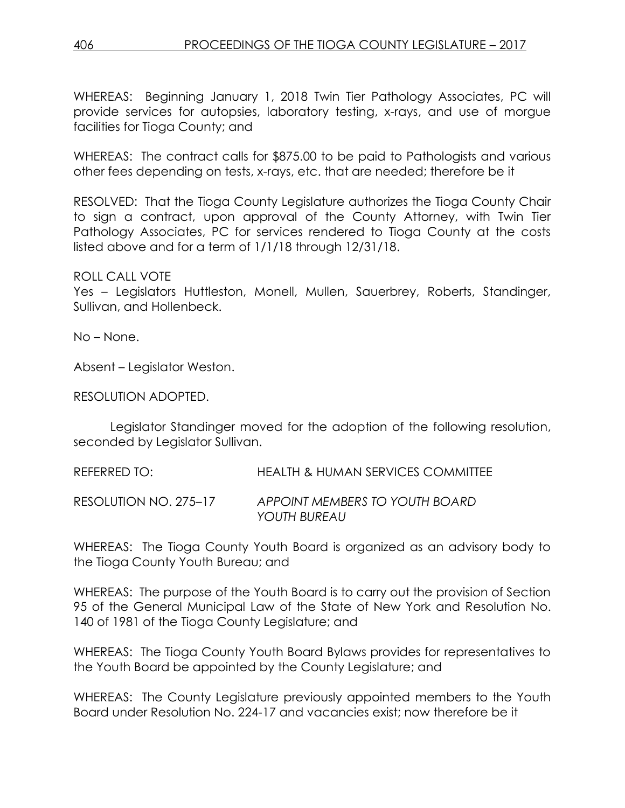WHEREAS: Beginning January 1, 2018 Twin Tier Pathology Associates, PC will provide services for autopsies, laboratory testing, x-rays, and use of morgue facilities for Tioga County; and

WHEREAS: The contract calls for \$875.00 to be paid to Pathologists and various other fees depending on tests, x-rays, etc. that are needed; therefore be it

RESOLVED: That the Tioga County Legislature authorizes the Tioga County Chair to sign a contract, upon approval of the County Attorney, with Twin Tier Pathology Associates, PC for services rendered to Tioga County at the costs listed above and for a term of 1/1/18 through 12/31/18.

#### ROLL CALL VOTE

Yes – Legislators Huttleston, Monell, Mullen, Sauerbrey, Roberts, Standinger, Sullivan, and Hollenbeck.

No – None.

Absent – Legislator Weston.

RESOLUTION ADOPTED.

Legislator Standinger moved for the adoption of the following resolution, seconded by Legislator Sullivan.

REFERRED TO: HEALTH & HUMAN SERVICES COMMITTEE

RESOLUTION NO. 275–17 *APPOINT MEMBERS TO YOUTH BOARD YOUTH BUREAU*

WHEREAS: The Tioga County Youth Board is organized as an advisory body to the Tioga County Youth Bureau; and

WHEREAS: The purpose of the Youth Board is to carry out the provision of Section 95 of the General Municipal Law of the State of New York and Resolution No. 140 of 1981 of the Tioga County Legislature; and

WHEREAS: The Tioga County Youth Board Bylaws provides for representatives to the Youth Board be appointed by the County Legislature; and

WHEREAS: The County Legislature previously appointed members to the Youth Board under Resolution No. 224-17 and vacancies exist; now therefore be it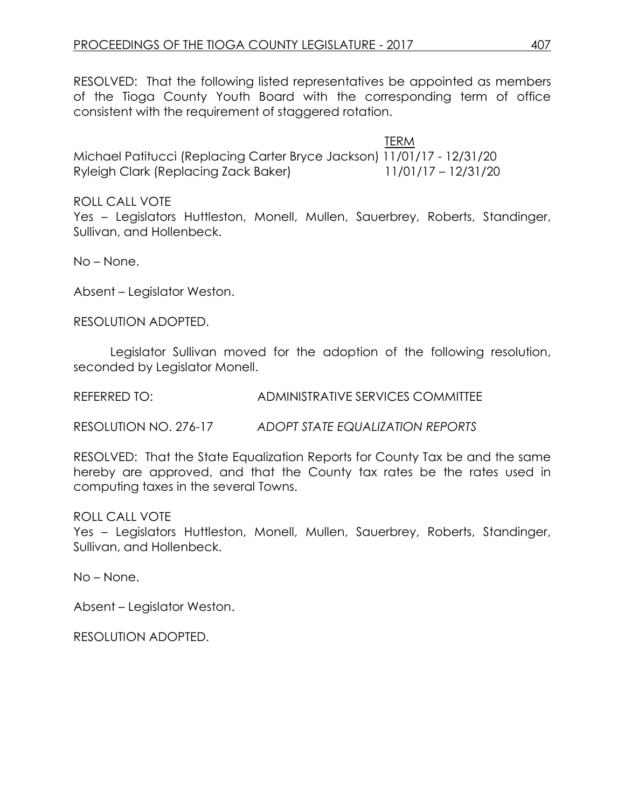RESOLVED: That the following listed representatives be appointed as members of the Tioga County Youth Board with the corresponding term of office consistent with the requirement of staggered rotation.

 TERM Michael Patitucci (Replacing Carter Bryce Jackson) 11/01/17 - 12/31/20 Ryleigh Clark (Replacing Zack Baker) 11/01/17 – 12/31/20

ROLL CALL VOTE

Yes – Legislators Huttleston, Monell, Mullen, Sauerbrey, Roberts, Standinger, Sullivan, and Hollenbeck.

No – None.

Absent – Legislator Weston.

RESOLUTION ADOPTED.

Legislator Sullivan moved for the adoption of the following resolution, seconded by Legislator Monell.

REFERRED TO: ADMINISTRATIVE SERVICES COMMITTEE

RESOLUTION NO. 276-17 *ADOPT STATE EQUALIZATION REPORTS*

RESOLVED: That the State Equalization Reports for County Tax be and the same hereby are approved, and that the County tax rates be the rates used in computing taxes in the several Towns.

ROLL CALL VOTE

Yes – Legislators Huttleston, Monell, Mullen, Sauerbrey, Roberts, Standinger, Sullivan, and Hollenbeck.

No – None.

Absent – Legislator Weston.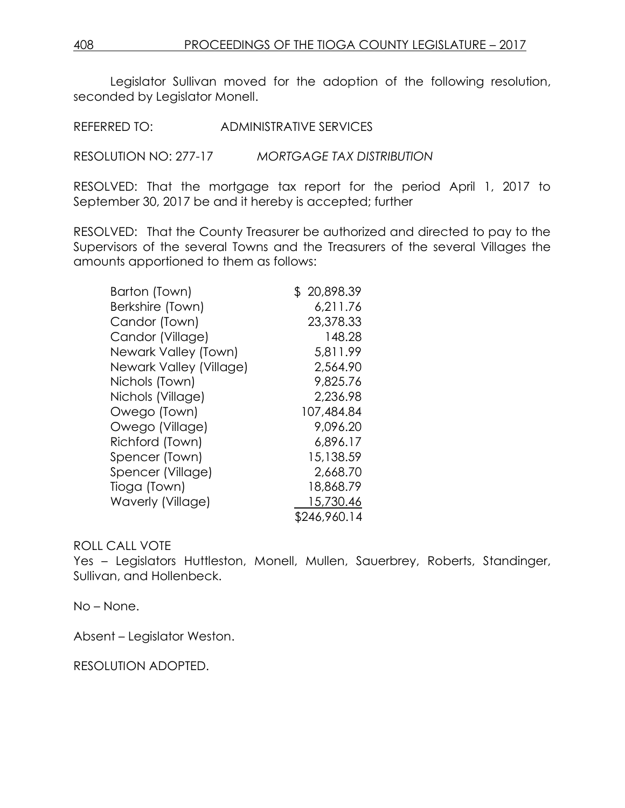Legislator Sullivan moved for the adoption of the following resolution, seconded by Legislator Monell.

REFERRED TO: ADMINISTRATIVE SERVICES

RESOLUTION NO: 277-17 *MORTGAGE TAX DISTRIBUTION*

RESOLVED: That the mortgage tax report for the period April 1, 2017 to September 30, 2017 be and it hereby is accepted; further

RESOLVED: That the County Treasurer be authorized and directed to pay to the Supervisors of the several Towns and the Treasurers of the several Villages the amounts apportioned to them as follows:

| Barton (Town)           | \$20,898.39  |
|-------------------------|--------------|
| Berkshire (Town)        | 6,211.76     |
| Candor (Town)           | 23,378.33    |
| Candor (Village)        | 148.28       |
| Newark Valley (Town)    | 5,811.99     |
| Newark Valley (Village) | 2,564.90     |
| Nichols (Town)          | 9,825.76     |
| Nichols (Village)       | 2,236.98     |
| Owego (Town)            | 107,484.84   |
| Owego (Village)         | 9.096.20     |
| Richford (Town)         | 6,896.17     |
| Spencer (Town)          | 15,138.59    |
| Spencer (Village)       | 2,668.70     |
| Tioga (Town)            | 18,868.79    |
| Waverly (Village)       | 15,730.46    |
|                         | \$246,960.14 |

#### ROLL CALL VOTE

Yes – Legislators Huttleston, Monell, Mullen, Sauerbrey, Roberts, Standinger, Sullivan, and Hollenbeck.

No – None.

Absent – Legislator Weston.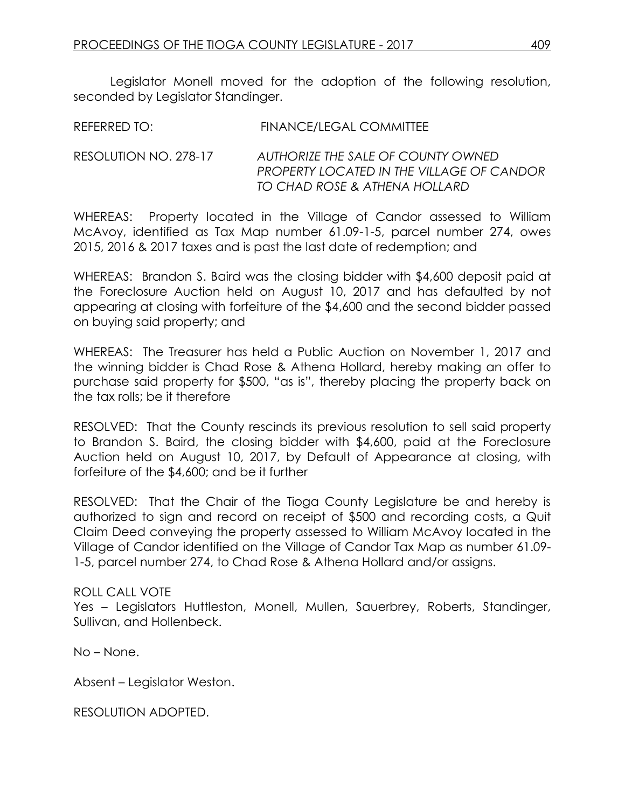Legislator Monell moved for the adoption of the following resolution, seconded by Legislator Standinger.

| <b>REFERRED TO:</b> | <b>FINANCE/LEGAL COMMITTEE</b> |
|---------------------|--------------------------------|
|                     |                                |

#### RESOLUTION NO. 278-17 *AUTHORIZE THE SALE OF COUNTY OWNED PROPERTY LOCATED IN THE VILLAGE OF CANDOR TO CHAD ROSE & ATHENA HOLLARD*

WHEREAS: Property located in the Village of Candor assessed to William McAvoy, identified as Tax Map number 61.09-1-5, parcel number 274, owes 2015, 2016 & 2017 taxes and is past the last date of redemption; and

WHEREAS: Brandon S. Baird was the closing bidder with \$4,600 deposit paid at the Foreclosure Auction held on August 10, 2017 and has defaulted by not appearing at closing with forfeiture of the \$4,600 and the second bidder passed on buying said property; and

WHEREAS: The Treasurer has held a Public Auction on November 1, 2017 and the winning bidder is Chad Rose & Athena Hollard, hereby making an offer to purchase said property for \$500, "as is", thereby placing the property back on the tax rolls; be it therefore

RESOLVED: That the County rescinds its previous resolution to sell said property to Brandon S. Baird, the closing bidder with \$4,600, paid at the Foreclosure Auction held on August 10, 2017, by Default of Appearance at closing, with forfeiture of the \$4,600; and be it further

RESOLVED: That the Chair of the Tioga County Legislature be and hereby is authorized to sign and record on receipt of \$500 and recording costs, a Quit Claim Deed conveying the property assessed to William McAvoy located in the Village of Candor identified on the Village of Candor Tax Map as number 61.09- 1-5, parcel number 274, to Chad Rose & Athena Hollard and/or assigns.

#### ROLL CALL VOTE

Yes – Legislators Huttleston, Monell, Mullen, Sauerbrey, Roberts, Standinger, Sullivan, and Hollenbeck.

No – None.

Absent – Legislator Weston.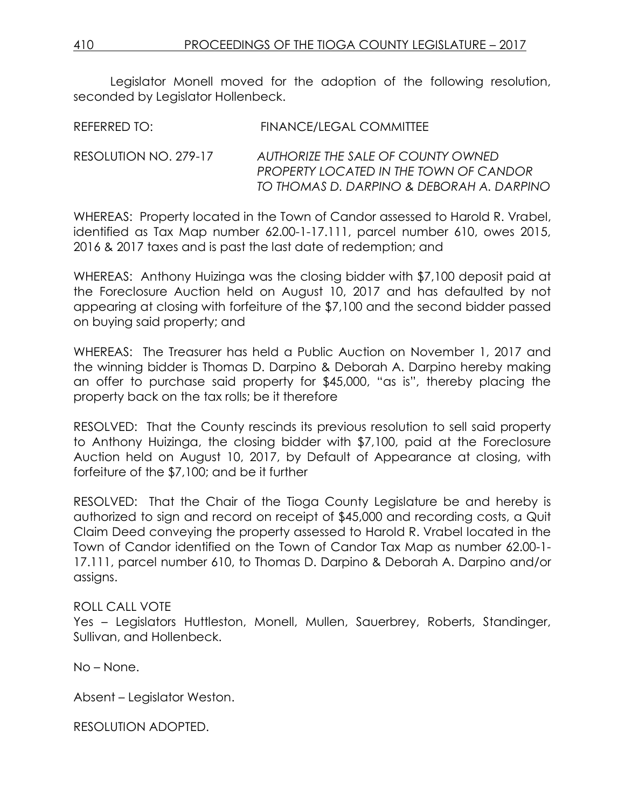Legislator Monell moved for the adoption of the following resolution, seconded by Legislator Hollenbeck.

| <b>FINANCE/LEGAL COMMITTEE</b><br>REFERRED TO: |  |
|------------------------------------------------|--|
|------------------------------------------------|--|

RESOLUTION NO. 279-17 *AUTHORIZE THE SALE OF COUNTY OWNED PROPERTY LOCATED IN THE TOWN OF CANDOR TO THOMAS D. DARPINO & DEBORAH A. DARPINO*

WHEREAS: Property located in the Town of Candor assessed to Harold R. Vrabel, identified as Tax Map number 62.00-1-17.111, parcel number 610, owes 2015, 2016 & 2017 taxes and is past the last date of redemption; and

WHEREAS: Anthony Huizinga was the closing bidder with \$7,100 deposit paid at the Foreclosure Auction held on August 10, 2017 and has defaulted by not appearing at closing with forfeiture of the \$7,100 and the second bidder passed on buying said property; and

WHEREAS: The Treasurer has held a Public Auction on November 1, 2017 and the winning bidder is Thomas D. Darpino & Deborah A. Darpino hereby making an offer to purchase said property for \$45,000, "as is", thereby placing the property back on the tax rolls; be it therefore

RESOLVED: That the County rescinds its previous resolution to sell said property to Anthony Huizinga, the closing bidder with \$7,100, paid at the Foreclosure Auction held on August 10, 2017, by Default of Appearance at closing, with forfeiture of the \$7,100; and be it further

RESOLVED: That the Chair of the Tioga County Legislature be and hereby is authorized to sign and record on receipt of \$45,000 and recording costs, a Quit Claim Deed conveying the property assessed to Harold R. Vrabel located in the Town of Candor identified on the Town of Candor Tax Map as number 62.00-1- 17.111, parcel number 610, to Thomas D. Darpino & Deborah A. Darpino and/or assigns.

## ROLL CALL VOTE

Yes – Legislators Huttleston, Monell, Mullen, Sauerbrey, Roberts, Standinger, Sullivan, and Hollenbeck.

No – None.

Absent – Legislator Weston.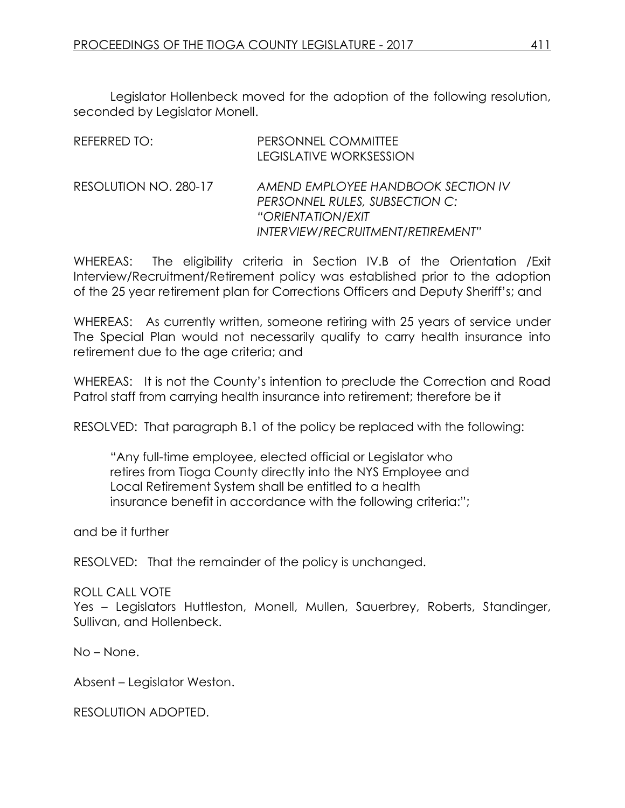Legislator Hollenbeck moved for the adoption of the following resolution, seconded by Legislator Monell.

| REFERRED TO:          | PERSONNEL COMMITTEE<br><b>LEGISLATIVE WORKSESSION</b>                                                                          |
|-----------------------|--------------------------------------------------------------------------------------------------------------------------------|
| RESOLUTION NO. 280-17 | AMEND EMPLOYEE HANDBOOK SECTION IV<br>PERSONNEL RULES, SUBSECTION C:<br>"ORIENTATION/EXIT<br>INTERVIEW/RECRUITMENT/RETIREMENT" |

WHEREAS: The eligibility criteria in Section IV.B of the Orientation /Exit Interview/Recruitment/Retirement policy was established prior to the adoption of the 25 year retirement plan for Corrections Officers and Deputy Sheriff's; and

WHEREAS: As currently written, someone retiring with 25 years of service under The Special Plan would not necessarily qualify to carry health insurance into retirement due to the age criteria; and

WHEREAS: It is not the County's intention to preclude the Correction and Road Patrol staff from carrying health insurance into retirement; therefore be it

RESOLVED: That paragraph B.1 of the policy be replaced with the following:

"Any full-time employee, elected official or Legislator who retires from Tioga County directly into the NYS Employee and Local Retirement System shall be entitled to a health insurance benefit in accordance with the following criteria:";

and be it further

RESOLVED: That the remainder of the policy is unchanged.

ROLL CALL VOTE

Yes – Legislators Huttleston, Monell, Mullen, Sauerbrey, Roberts, Standinger, Sullivan, and Hollenbeck.

No – None.

Absent – Legislator Weston.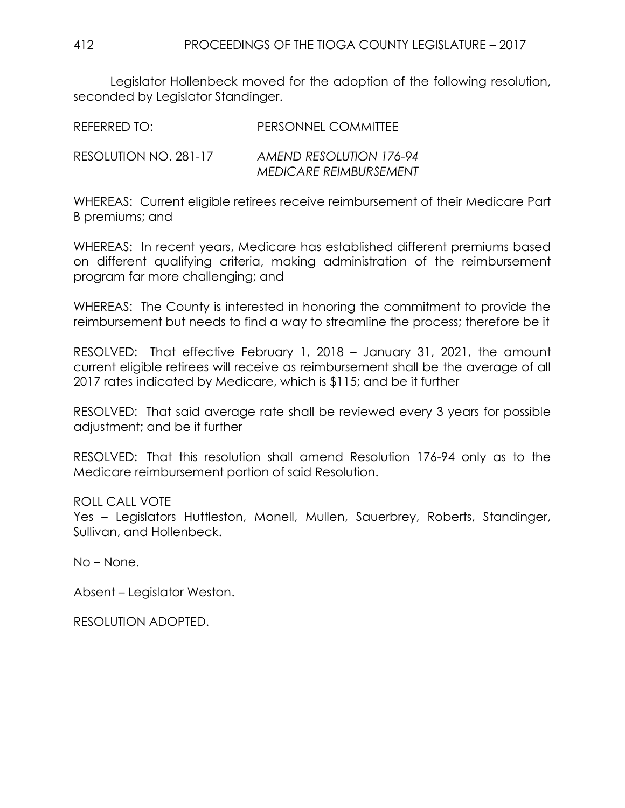Legislator Hollenbeck moved for the adoption of the following resolution, seconded by Legislator Standinger.

| REFERRED TO: | PERSONNEL COMMITTEE |
|--------------|---------------------|
|              |                     |

RESOLUTION NO. 281-17 *AMEND RESOLUTION 176-94 MEDICARE REIMBURSEMENT*

WHEREAS: Current eligible retirees receive reimbursement of their Medicare Part B premiums; and

WHEREAS: In recent years, Medicare has established different premiums based on different qualifying criteria, making administration of the reimbursement program far more challenging; and

WHEREAS: The County is interested in honoring the commitment to provide the reimbursement but needs to find a way to streamline the process; therefore be it

RESOLVED: That effective February 1, 2018 – January 31, 2021, the amount current eligible retirees will receive as reimbursement shall be the average of all 2017 rates indicated by Medicare, which is \$115; and be it further

RESOLVED: That said average rate shall be reviewed every 3 years for possible adjustment; and be it further

RESOLVED: That this resolution shall amend Resolution 176-94 only as to the Medicare reimbursement portion of said Resolution.

## ROLL CALL VOTE

Yes – Legislators Huttleston, Monell, Mullen, Sauerbrey, Roberts, Standinger, Sullivan, and Hollenbeck.

No – None.

Absent – Legislator Weston.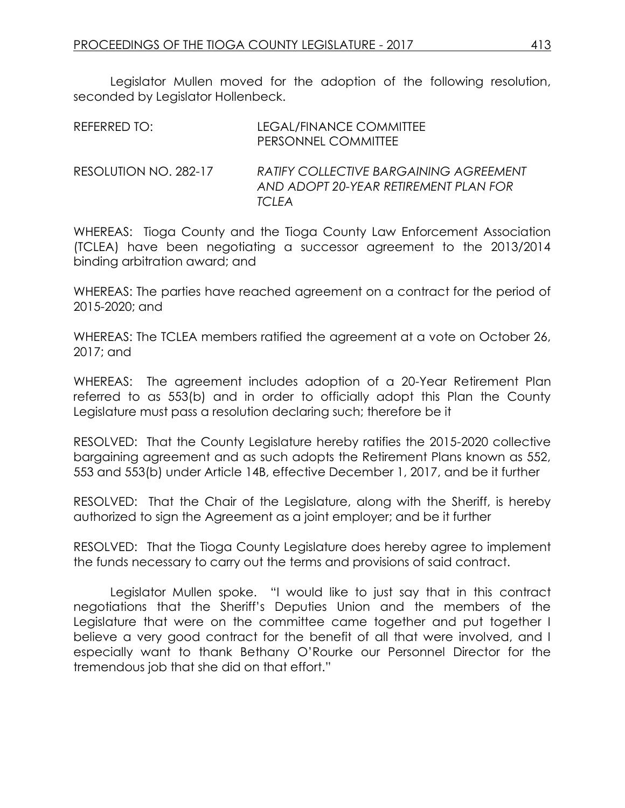Legislator Mullen moved for the adoption of the following resolution, seconded by Legislator Hollenbeck.

| REFERRED TO:          | LEGAL/FINANCE COMMITTEE<br>PERSONNEL COMMITTEE                                                   |
|-----------------------|--------------------------------------------------------------------------------------------------|
| RESOLUTION NO. 282-17 | <b>RATIFY COLLECTIVE BARGAINING AGREEMENT</b><br>AND ADOPT 20-YEAR RETIREMENT PLAN FOR<br>TCI FA |

WHEREAS: Tioga County and the Tioga County Law Enforcement Association (TCLEA) have been negotiating a successor agreement to the 2013/2014 binding arbitration award; and

WHEREAS: The parties have reached agreement on a contract for the period of 2015-2020; and

WHEREAS: The TCLEA members ratified the agreement at a vote on October 26, 2017; and

WHEREAS: The agreement includes adoption of a 20-Year Retirement Plan referred to as 553(b) and in order to officially adopt this Plan the County Legislature must pass a resolution declaring such; therefore be it

RESOLVED: That the County Legislature hereby ratifies the 2015-2020 collective bargaining agreement and as such adopts the Retirement Plans known as 552, 553 and 553(b) under Article 14B, effective December 1, 2017, and be it further

RESOLVED: That the Chair of the Legislature, along with the Sheriff, is hereby authorized to sign the Agreement as a joint employer; and be it further

RESOLVED: That the Tioga County Legislature does hereby agree to implement the funds necessary to carry out the terms and provisions of said contract.

Legislator Mullen spoke. "I would like to just say that in this contract negotiations that the Sheriff's Deputies Union and the members of the Legislature that were on the committee came together and put together I believe a very good contract for the benefit of all that were involved, and I especially want to thank Bethany O'Rourke our Personnel Director for the tremendous job that she did on that effort."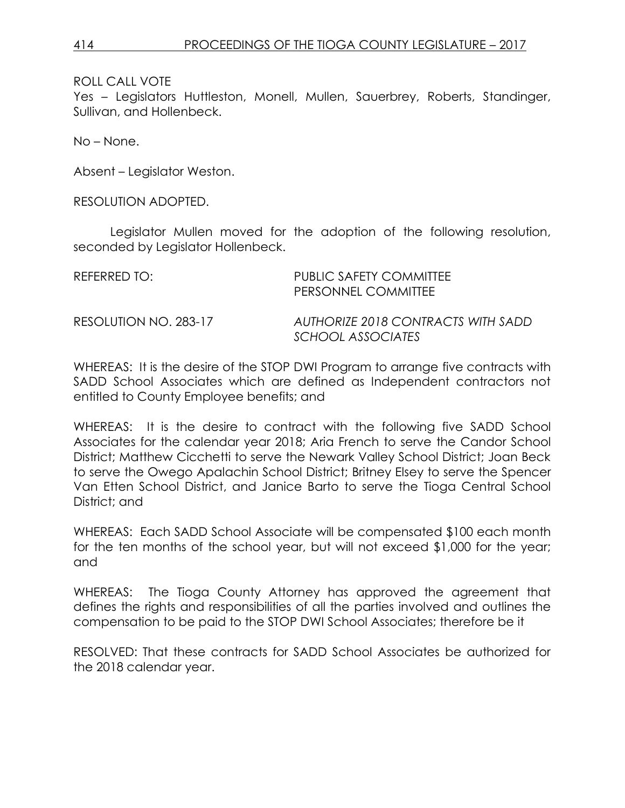Yes – Legislators Huttleston, Monell, Mullen, Sauerbrey, Roberts, Standinger, Sullivan, and Hollenbeck.

No – None.

Absent – Legislator Weston.

RESOLUTION ADOPTED.

Legislator Mullen moved for the adoption of the following resolution, seconded by Legislator Hollenbeck.

| REFERRED TO:          | PUBLIC SAFETY COMMITTEE<br>PERSONNEL COMMITTEE          |
|-----------------------|---------------------------------------------------------|
| RESOLUTION NO. 283-17 | AUTHORIZE 2018 CONTRACTS WITH SADD<br>SCHOOL ASSOCIATES |

WHEREAS: It is the desire of the STOP DWI Program to arrange five contracts with SADD School Associates which are defined as Independent contractors not entitled to County Employee benefits; and

WHEREAS: It is the desire to contract with the following five SADD School Associates for the calendar year 2018; Aria French to serve the Candor School District; Matthew Cicchetti to serve the Newark Valley School District; Joan Beck to serve the Owego Apalachin School District; Britney Elsey to serve the Spencer Van Etten School District, and Janice Barto to serve the Tioga Central School District; and

WHEREAS: Each SADD School Associate will be compensated \$100 each month for the ten months of the school year, but will not exceed \$1,000 for the year; and

WHEREAS: The Tioga County Attorney has approved the agreement that defines the rights and responsibilities of all the parties involved and outlines the compensation to be paid to the STOP DWI School Associates; therefore be it

RESOLVED: That these contracts for SADD School Associates be authorized for the 2018 calendar year.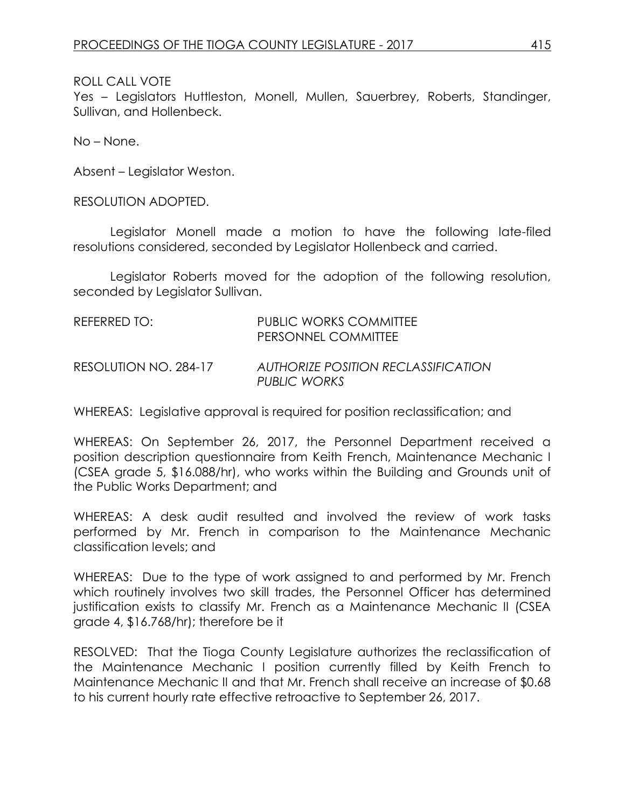Yes – Legislators Huttleston, Monell, Mullen, Sauerbrey, Roberts, Standinger, Sullivan, and Hollenbeck.

No – None.

Absent – Legislator Weston.

RESOLUTION ADOPTED.

Legislator Monell made a motion to have the following late-filed resolutions considered, seconded by Legislator Hollenbeck and carried.

Legislator Roberts moved for the adoption of the following resolution, seconded by Legislator Sullivan.

| REFERRED TO:          | PUBLIC WORKS COMMITTEE<br>PERSONNEL COMMITTEE              |
|-----------------------|------------------------------------------------------------|
| RESOLUTION NO. 284-17 | <b>AUTHORIZE POSITION RECLASSIFICATION</b><br>PUBLIC WORKS |

WHEREAS: Legislative approval is required for position reclassification; and

WHEREAS: On September 26, 2017, the Personnel Department received a position description questionnaire from Keith French, Maintenance Mechanic I (CSEA grade 5, \$16.088/hr), who works within the Building and Grounds unit of the Public Works Department; and

WHEREAS: A desk audit resulted and involved the review of work tasks performed by Mr. French in comparison to the Maintenance Mechanic classification levels; and

WHEREAS: Due to the type of work assigned to and performed by Mr. French which routinely involves two skill trades, the Personnel Officer has determined justification exists to classify Mr. French as a Maintenance Mechanic II (CSEA grade 4, \$16.768/hr); therefore be it

RESOLVED: That the Tioga County Legislature authorizes the reclassification of the Maintenance Mechanic I position currently filled by Keith French to Maintenance Mechanic II and that Mr. French shall receive an increase of \$0.68 to his current hourly rate effective retroactive to September 26, 2017.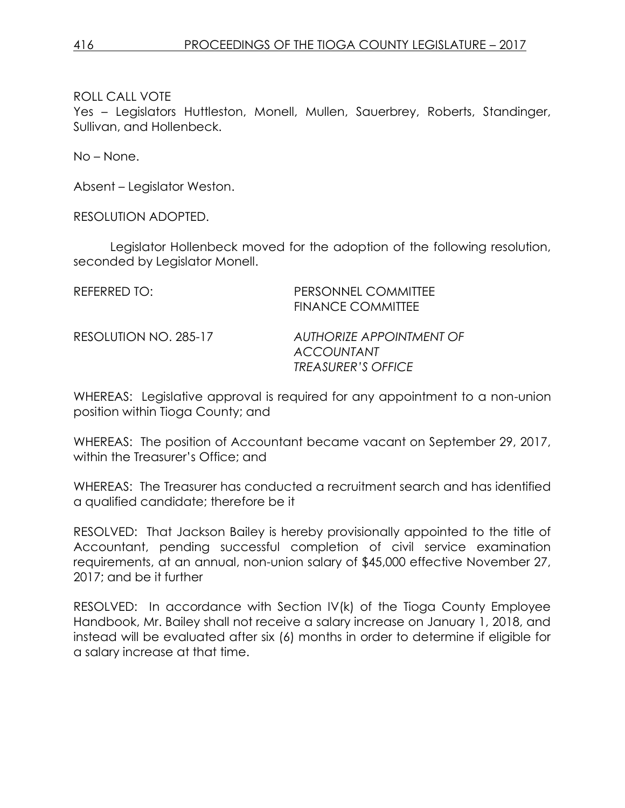Yes – Legislators Huttleston, Monell, Mullen, Sauerbrey, Roberts, Standinger, Sullivan, and Hollenbeck.

No – None.

Absent – Legislator Weston.

RESOLUTION ADOPTED.

Legislator Hollenbeck moved for the adoption of the following resolution, seconded by Legislator Monell.

| REFERRED TO:          | PERSONNEL COMMITTEE<br><b>FINANCE COMMITTEE</b> |
|-----------------------|-------------------------------------------------|
| RESOLUTION NO. 285-17 | AUTHORIZE APPOINTMENT OF<br><b>ACCOUNTANT</b>   |
|                       | <b>TREASURER'S OFFICE</b>                       |

WHEREAS: Legislative approval is required for any appointment to a non-union position within Tioga County; and

WHEREAS: The position of Accountant became vacant on September 29, 2017, within the Treasurer's Office; and

WHEREAS: The Treasurer has conducted a recruitment search and has identified a qualified candidate; therefore be it

RESOLVED: That Jackson Bailey is hereby provisionally appointed to the title of Accountant, pending successful completion of civil service examination requirements, at an annual, non-union salary of \$45,000 effective November 27, 2017; and be it further

RESOLVED: In accordance with Section IV(k) of the Tioga County Employee Handbook, Mr. Bailey shall not receive a salary increase on January 1, 2018, and instead will be evaluated after six (6) months in order to determine if eligible for a salary increase at that time.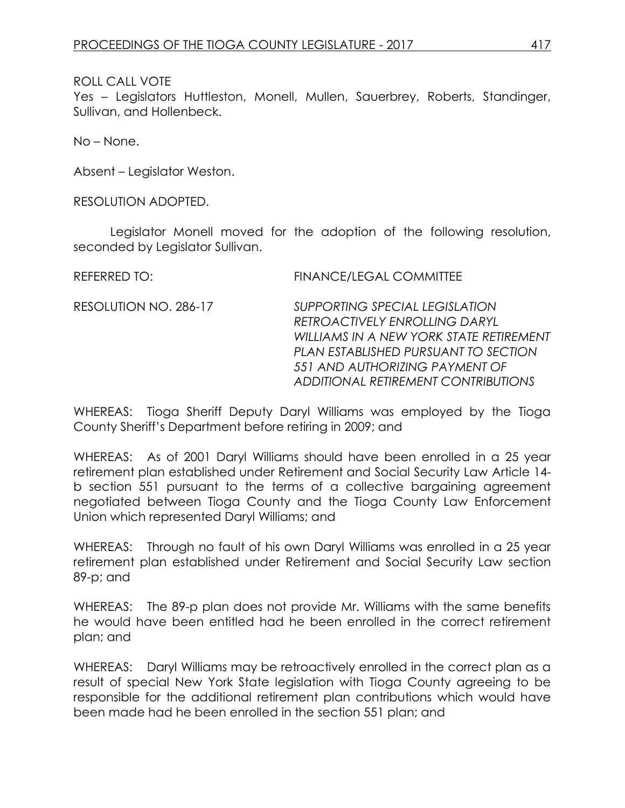Yes – Legislators Huttleston, Monell, Mullen, Sauerbrey, Roberts, Standinger, Sullivan, and Hollenbeck.

No – None.

Absent – Legislator Weston.

RESOLUTION ADOPTED.

Legislator Monell moved for the adoption of the following resolution, seconded by Legislator Sullivan.

| REFERRED TO:          | <b>FINANCE/LEGAL COMMITTEE</b>                                                                                                                                                                                              |
|-----------------------|-----------------------------------------------------------------------------------------------------------------------------------------------------------------------------------------------------------------------------|
| RESOLUTION NO. 286-17 | SUPPORTING SPECIAL LEGISLATION<br>RETROACTIVELY ENROLLING DARYL<br>WILLIAMS IN A NEW YORK STATE RETIREMENT<br>PLAN ESTABLISHED PURSUANT TO SECTION<br>551 AND AUTHORIZING PAYMENT OF<br>ADDITIONAL RETIREMENT CONTRIBUTIONS |

WHEREAS: Tioga Sheriff Deputy Daryl Williams was employed by the Tioga County Sheriff's Department before retiring in 2009; and

WHEREAS: As of 2001 Daryl Williams should have been enrolled in a 25 year retirement plan established under Retirement and Social Security Law Article 14 b section 551 pursuant to the terms of a collective bargaining agreement negotiated between Tioga County and the Tioga County Law Enforcement Union which represented Daryl Williams; and

WHEREAS: Through no fault of his own Daryl Williams was enrolled in a 25 year retirement plan established under Retirement and Social Security Law section 89-p; and

WHEREAS: The 89-p plan does not provide Mr. Williams with the same benefits he would have been entitled had he been enrolled in the correct retirement plan; and

WHEREAS: Daryl Williams may be retroactively enrolled in the correct plan as a result of special New York State legislation with Tioga County agreeing to be responsible for the additional retirement plan contributions which would have been made had he been enrolled in the section 551 plan; and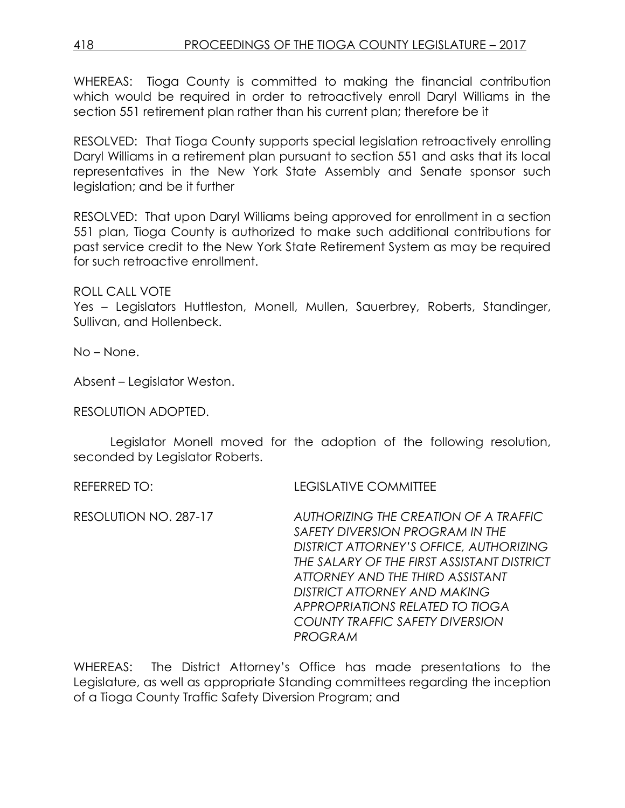# 418 PROCEEDINGS OF THE TIOGA COUNTY LEGISLATURE – 2017

WHEREAS: Tioga County is committed to making the financial contribution which would be required in order to retroactively enroll Daryl Williams in the section 551 retirement plan rather than his current plan; therefore be it

RESOLVED: That Tioga County supports special legislation retroactively enrolling Daryl Williams in a retirement plan pursuant to section 551 and asks that its local representatives in the New York State Assembly and Senate sponsor such legislation; and be it further

RESOLVED: That upon Daryl Williams being approved for enrollment in a section 551 plan, Tioga County is authorized to make such additional contributions for past service credit to the New York State Retirement System as may be required for such retroactive enrollment.

ROLL CALL VOTE

Yes – Legislators Huttleston, Monell, Mullen, Sauerbrey, Roberts, Standinger, Sullivan, and Hollenbeck.

No – None.

Absent – Legislator Weston.

RESOLUTION ADOPTED.

Legislator Monell moved for the adoption of the following resolution, seconded by Legislator Roberts.

REFERRED TO: LEGISLATIVE COMMITTEE

RESOLUTION NO. 287-17 *AUTHORIZING THE CREATION OF A TRAFFIC SAFETY DIVERSION PROGRAM IN THE DISTRICT ATTORNEY'S OFFICE, AUTHORIZING THE SALARY OF THE FIRST ASSISTANT DISTRICT ATTORNEY AND THE THIRD ASSISTANT DISTRICT ATTORNEY AND MAKING APPROPRIATIONS RELATED TO TIOGA COUNTY TRAFFIC SAFETY DIVERSION PROGRAM*

WHEREAS: The District Attorney's Office has made presentations to the Legislature, as well as appropriate Standing committees regarding the inception of a Tioga County Traffic Safety Diversion Program; and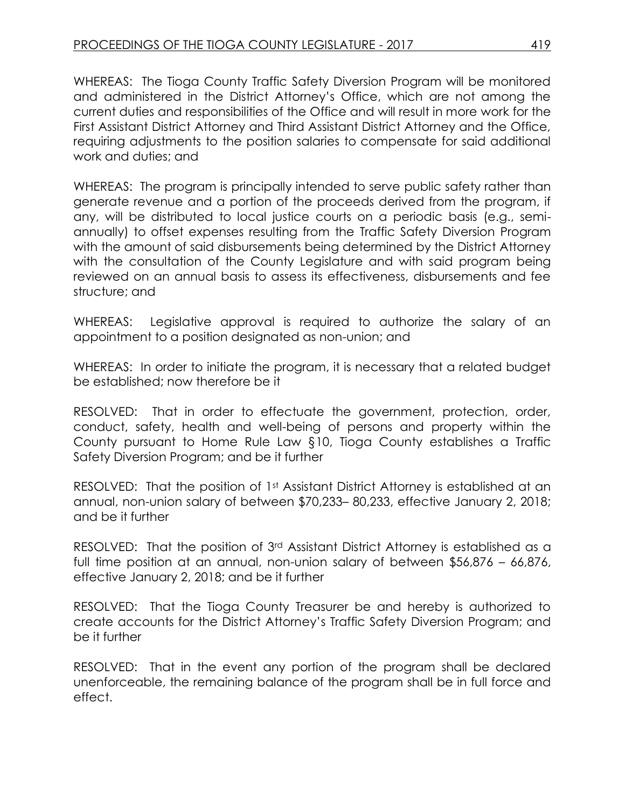WHEREAS: The Tioga County Traffic Safety Diversion Program will be monitored and administered in the District Attorney's Office, which are not among the current duties and responsibilities of the Office and will result in more work for the First Assistant District Attorney and Third Assistant District Attorney and the Office, requiring adjustments to the position salaries to compensate for said additional work and duties; and

WHEREAS: The program is principally intended to serve public safety rather than generate revenue and a portion of the proceeds derived from the program, if any, will be distributed to local justice courts on a periodic basis (e.g., semiannually) to offset expenses resulting from the Traffic Safety Diversion Program with the amount of said disbursements being determined by the District Attorney with the consultation of the County Legislature and with said program being reviewed on an annual basis to assess its effectiveness, disbursements and fee structure; and

WHEREAS: Legislative approval is required to authorize the salary of an appointment to a position designated as non-union; and

WHEREAS: In order to initiate the program, it is necessary that a related budget be established; now therefore be it

RESOLVED: That in order to effectuate the government, protection, order, conduct, safety, health and well-being of persons and property within the County pursuant to Home Rule Law §10, Tioga County establishes a Traffic Safety Diversion Program; and be it further

RESOLVED: That the position of 1st Assistant District Attorney is established at an annual, non-union salary of between \$70,233– 80,233, effective January 2, 2018; and be it further

RESOLVED: That the position of 3<sup>rd</sup> Assistant District Attorney is established as a full time position at an annual, non-union salary of between \$56,876 – 66,876, effective January 2, 2018; and be it further

RESOLVED: That the Tioga County Treasurer be and hereby is authorized to create accounts for the District Attorney's Traffic Safety Diversion Program; and be it further

RESOLVED: That in the event any portion of the program shall be declared unenforceable, the remaining balance of the program shall be in full force and effect.